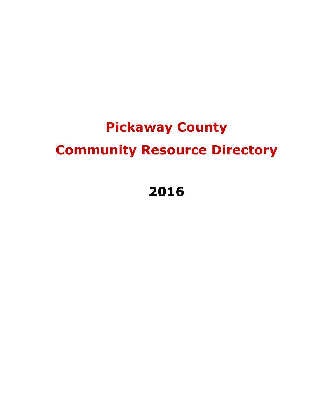# Pickaway County Community Resource Directory

# 2016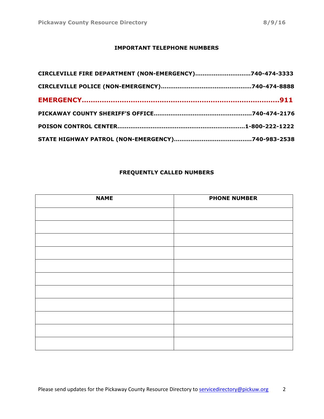#### IMPORTANT TELEPHONE NUMBERS

| CIRCLEVILLE FIRE DEPARTMENT (NON-EMERGENCY)740-474-3333 |  |
|---------------------------------------------------------|--|
|                                                         |  |
|                                                         |  |
|                                                         |  |
|                                                         |  |
|                                                         |  |

#### FREQUENTLY CALLED NUMBERS

| <b>NAME</b> | <b>PHONE NUMBER</b> |
|-------------|---------------------|
|             |                     |
|             |                     |
|             |                     |
|             |                     |
|             |                     |
|             |                     |
|             |                     |
|             |                     |
|             |                     |
|             |                     |
|             |                     |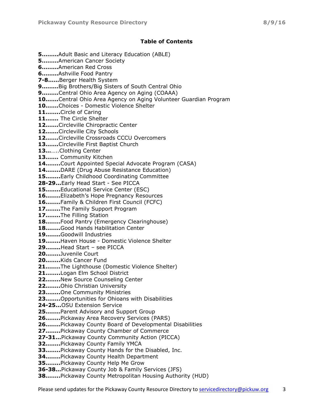#### Table of Contents

5………Adult Basic and Literacy Education (ABLE) 5………American Cancer Society 6………American Red Cross 6………Ashville Food Pantry 7-8……Berger Health System 9………Big Brothers/Big Sisters of South Central Ohio 9..…….Central Ohio Area Agency on Aging (COAAA) 10…….Central Ohio Area Agency on Aging Volunteer Guardian Program 10…….Choices - Domestic Violence Shelter 11……..Circle of Caring 11....... The Circle Shelter 12…….Circleville Chiropractic Center 12…….Circleville City Schools 12.......Circleville Crossroads CCCU Overcomers 13.......Circleville First Baptist Church 13……..Clothing Center 13....... Community Kitchen 14……..Court Appointed Special Advocate Program (CASA) 14........DARE (Drug Abuse Resistance Education) 15........Early Childhood Coordinating Committee 28-29...Early Head Start - See PICCA 15........Educational Service Center (ESC) 16........Elizabeth's Hope Pregnancy Resources 16…..…Family & Children First Council (FCFC) 17........The Family Support Program 17……..The Filling Station 18........Food Pantry (Emergency Clearinghouse) 18........Good Hands Habilitation Center 19…..…Goodwill Industries 19……..Haven House - Domestic Violence Shelter 29….....Head Start – see PICCA 20……..Juvenile Court 20……..Kids Cancer Fund 21…..…The Lighthouse (Domestic Violence Shelter) 21……..Logan Elm School District 22……..New Source Counseling Center 22……..Ohio Christian University 23……..One Community Ministries 23........Opportunities for Ohioans with Disabilities 24-25...OSU Extension Service 25........Parent Advisory and Support Group 26……..Pickaway Area Recovery Services (PARS) 26…..…Pickaway County Board of Developmental Disabilities 27……..Pickaway County Chamber of Commerce 27-31…Pickaway County Community Action (PICCA) 32……..Pickaway County Family YMCA 33........Pickaway County Hands for the Disabled, Inc. 34…..…Pickaway County Health Department 35……..Pickaway County Help Me Grow 36-38…Pickaway County Job & Family Services (JFS) 38……..Pickaway County Metropolitan Housing Authority (HUD)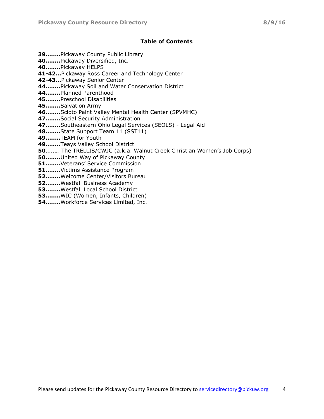#### Table of Contents

39…..…Pickaway County Public Library 40……..Pickaway Diversified, Inc. 40……..Pickaway HELPS 41-42…Pickaway Ross Career and Technology Center 42-43…Pickaway Senior Center 44……..Pickaway Soil and Water Conservation District 44……..Planned Parenthood 45……..Preschool Disabilities 45……..Salvation Army 46……..Scioto Paint Valley Mental Health Center (SPVMHC) 47……..Social Security Administration 47……..Southeastern Ohio Legal Services (SEOLS) - Legal Aid 48........State Support Team 11 (SST11) 49…..…TEAM for Youth 49……..Teays Valley School District 50**……..** The TRELLIS/CWJC (a.k.a. Walnut Creek Christian Women's Job Corps) 50……..United Way of Pickaway County 51……..Veterans' Service Commission 51……..Victims Assistance Program 52……..Welcome Center/Visitors Bureau 52……..Westfall Business Academy 53…..…Westfall Local School District 53…..…WIC (Women, Infants, Children) 54…..…Workforce Services Limited, Inc.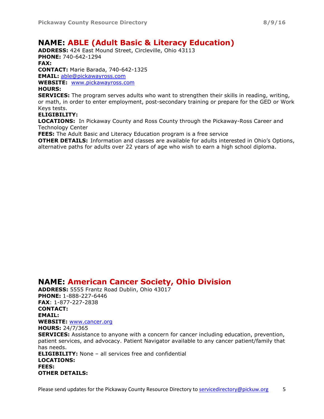## NAME: ABLE (Adult Basic & Literacy Education)

ADDRESS: 424 East Mound Street, Circleville, Ohio 43113 PHONE: 740-642-1294 FAX: CONTACT: Marie Barada, 740-642-1325 EMAIL: able@pickawayross.com WEBSITE: www.pickawayross.com

HOURS:

SERVICES: The program serves adults who want to strengthen their skills in reading, writing, or math, in order to enter employment, post-secondary training or prepare for the GED or Work Keys tests.

#### ELIGIBILITY:

LOCATIONS: In Pickaway County and Ross County through the Pickaway-Ross Career and Technology Center

**FEES:** The Adult Basic and Literacy Education program is a free service

**OTHER DETAILS:** Information and classes are available for adults interested in Ohio's Options, alternative paths for adults over 22 years of age who wish to earn a high school diploma.

## NAME: American Cancer Society, Ohio Division

ADDRESS: 5555 Frantz Road Dublin, Ohio 43017 PHONE: 1-888-227-6446 FAX: 1-877-227-2838 CONTACT: EMAIL: WEBSITE: www.cancer.org HOURS: 24/7/365 **SERVICES:** Assistance to anyone with a concern for cancer including education, prevention, patient services, and advocacy. Patient Navigator available to any cancer patient/family that has needs. ELIGIBILITY: None – all services free and confidential LOCATIONS: FEES: OTHER DETAILS: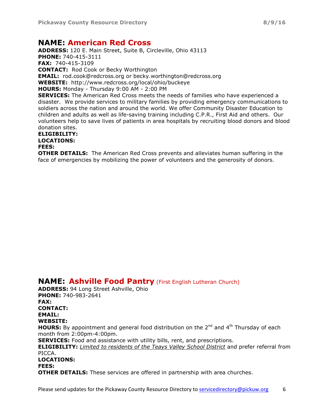## NAME: American Red Cross

ADDRESS: 120 E. Main Street, Suite B, Circleville, Ohio 43113 PHONE: 740-415-3111 FAX: 740-415-3109 CONTACT: Rod Cook or Becky Worthington EMAIL: rod.cook@redcross.org or becky.worthington@redcross.org WEBSITE: http://www.redcross.org/local/ohio/buckeye HOURS: Monday - Thursday 9:00 AM - 2:00 PM **SERVICES:** The American Red Cross meets the needs of families who have experienced a disaster. We provide services to military families by providing emergency communications to soldiers across the nation and around the world. We offer Community Disaster Education to children and adults as well as life-saving training including C.P.R., First Aid and others. Our volunteers help to save lives of patients in area hospitals by recruiting blood donors and blood donation sites. ELIGIBILITY: LOCATIONS: FEES: **OTHER DETAILS:** The American Red Cross prevents and alleviates human suffering in the

face of emergencies by mobilizing the power of volunteers and the generosity of donors.

## NAME: Ashville Food Pantry (First English Lutheran Church)

ADDRESS: 94 Long Street Ashville, Ohio PHONE: 740-983-2641 FAX: CONTACT: EMAIL: WEBSITE: **HOURS:** By appointment and general food distribution on the  $2^{nd}$  and  $4^{th}$  Thursday of each month from 2:00pm-4:00pm. SERVICES: Food and assistance with utility bills, rent, and prescriptions. **ELIGIBILITY:** *Limited to residents of the Teays Valley School District* and prefer referral from PICCA. LOCATIONS: FEES: **OTHER DETAILS:** These services are offered in partnership with area churches.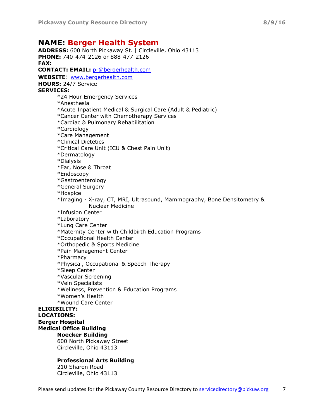## NAME: Berger Health System

ADDRESS: 600 North Pickaway St. | Circleville, Ohio 43113 PHONE: 740-474-2126 or 888-477-2126 FAX: CONTACT: EMAIL: pr@bergerhealth.com WEBSITE: www.bergerhealth.com HOURS: 24/7 Service SERVICES: \*24 Hour Emergency Services \*Anesthesia \*Acute Inpatient Medical & Surgical Care (Adult & Pediatric) \*Cancer Center with Chemotherapy Services \*Cardiac & Pulmonary Rehabilitation \*Cardiology \*Care Management \*Clinical Dietetics \*Critical Care Unit (ICU & Chest Pain Unit) \*Dermatology \*Dialysis \*Ear, Nose & Throat \*Endoscopy \*Gastroenterology \*General Surgery \*Hospice \*Imaging - X-ray, CT, MRI, Ultrasound, Mammography, Bone Densitometry & Nuclear Medicine \*Infusion Center \*Laboratory \*Lung Care Center \*Maternity Center with Childbirth Education Programs \*Occupational Health Center \*Orthopedic & Sports Medicine \*Pain Management Center \*Pharmacy \*Physical, Occupational & Speech Therapy \*Sleep Center \*Vascular Screening \*Vein Specialists \*Wellness, Prevention & Education Programs \*Women's Health \*Wound Care Center ELIGIBILITY: LOCATIONS: Berger Hospital Medical Office Building Noecker Building 600 North Pickaway Street Circleville, Ohio 43113

#### Professional Arts Building

210 Sharon Road Circleville, Ohio 43113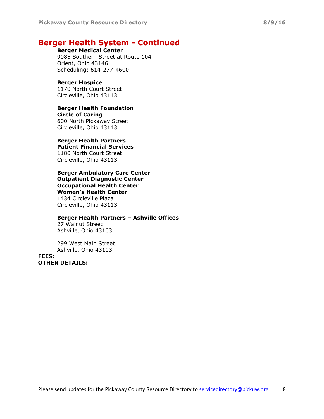## Berger Health System - Continued

#### Berger Medical Center

9085 Southern Street at Route 104 Orient, Ohio 43146 Scheduling: 614-277-4600

#### Berger Hospice

1170 North Court Street Circleville, Ohio 43113

#### Berger Health Foundation Circle of Caring

600 North Pickaway Street Circleville, Ohio 43113

#### Berger Health Partners

Patient Financial Services 1180 North Court Street Circleville, Ohio 43113

Berger Ambulatory Care Center Outpatient Diagnostic Center Occupational Health Center Women's Health Center 1434 Circleville Plaza Circleville, Ohio 43113

#### Berger Health Partners – Ashville Offices

27 Walnut Street Ashville, Ohio 43103

299 West Main Street Ashville, Ohio 43103

#### FEES: OTHER DETAILS: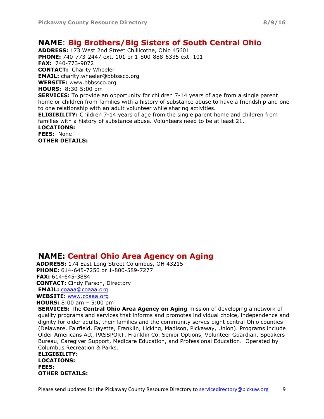## NAME: Big Brothers/Big Sisters of South Central Ohio

ADDRESS: 173 West 2nd Street Chillicothe, Ohio 45601 PHONE: 740-773-2447 ext. 101 or 1-800-888-6335 ext. 101 FAX: 740-773-9072 CONTACT: Charity Wheeler EMAIL: charity.wheeler@bbbssco.org WEBSITE: www.bbbssco.org HOURS: 8:30-5:00 pm **SERVICES:** To provide an opportunity for children 7-14 years of age from a single parent home or children from families with a history of substance abuse to have a friendship and one to one relationship with an adult volunteer while sharing activities. **ELIGIBILITY:** Children 7-14 years of age from the single parent home and children from families with a history of substance abuse. Volunteers need to be at least 21. LOCATIONS: FEES: None OTHER DETAILS:

## NAME: Central Ohio Area Agency on Aging

ADDRESS: 174 East Long Street Columbus, OH 43215 PHONE: 614-645-7250 or 1-800-589-7277 FAX: 614-645-3884 CONTACT: Cindy Farson, Directory EMAIL: coaaa@coaaa.org WEBSITE: www.coaaa.org HOURS: 8:00 am – 5:00 pm

SERVICES: The Central Ohio Area Agency on Aging mission of developing a network of quality programs and services that informs and promotes individual choice, independence and dignity for older adults, their families and the community serves eight central Ohio counties (Delaware, Fairfield, Fayette, Franklin, Licking, Madison, Pickaway, Union). Programs include Older Americans Act, PASSPORT, Franklin Co. Senior Options, Volunteer Guardian, Speakers Bureau, Caregiver Support, Medicare Education, and Professional Education. Operated by Columbus Recreation & Parks.

ELIGIBILITY: LOCATIONS: FEES: OTHER DETAILS: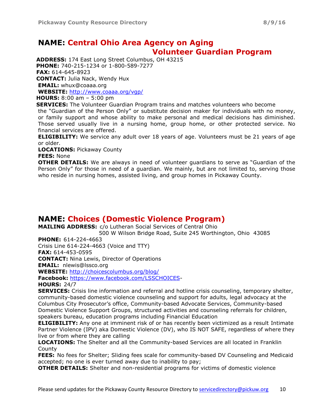## NAME: Central Ohio Area Agency on Aging Volunteer Guardian Program

 ADDRESS: 174 East Long Street Columbus, OH 43215 PHONE: 740-215-1234 or 1-800-589-7277 FAX: 614-645-8923 CONTACT: Julia Nack, Wendy Hux EMAIL: whux@coaaa.org WEBSITE: http://www.coaaa.org/vgp/

**HOURS:** 8:00 am - 5:00 pm

**SERVICES:** The Volunteer Guardian Program trains and matches volunteers who become

the "Guardian of the Person Only" or substitute decision maker for individuals with no money, or family support and whose ability to make personal and medical decisions has diminished. Those served usually live in a nursing home, group home, or other protected service. No financial services are offered.

**ELIGIBILITY:** We service any adult over 18 years of age. Volunteers must be 21 years of age or older.

LOCATIONS: Pickaway County

FEES: None

**OTHER DETAILS:** We are always in need of volunteer guardians to serve as "Guardian of the Person Only" for those in need of a guardian. We mainly, but are not limited to, serving those who reside in nursing homes, assisted living, and group homes in Pickaway County.

## NAME: Choices (Domestic Violence Program)

MAILING ADDRESS: c/o Lutheran Social Services of Central Ohio

500 W Wilson Bridge Road, Suite 245 Worthington, Ohio 43085

PHONE: 614-224-4663

Crisis Line 614-224-4663 (Voice and TTY)

FAX: 614-453-0595

CONTACT: Nina Lewis, Director of Operations

EMAIL: nlewis@lssco.org

WEBSITE: http://choicescolumbus.org/blog/ Facebook: https://www.facebook.com/LSSCHOICES-

HOURS: 24/7

SERVICES: Crisis line information and referral and hotline crisis counseling, temporary shelter, community-based domestic violence counseling and support for adults, legal advocacy at the Columbus City Prosecutor's office, Community-based Advocate Services, Community-based Domestic Violence Support Groups, structured activities and counseling referrals for children, speakers bureau, education programs including Financial Education

**ELIGIBILITY:** Any one at imminent risk of or has recently been victimized as a result Intimate Partner Violence (IPV) aka Domestic Violence (DV), who IS NOT SAFE, regardless of where they live or from where they are calling

LOCATIONS: The Shelter and all the Community-based Services are all located in Franklin **County** 

FEES: No fees for Shelter; Sliding fees scale for community-based DV Counseling and Medicaid accepted; no one is ever turned away due to inability to pay;

OTHER DETAILS: Shelter and non-residential programs for victims of domestic violence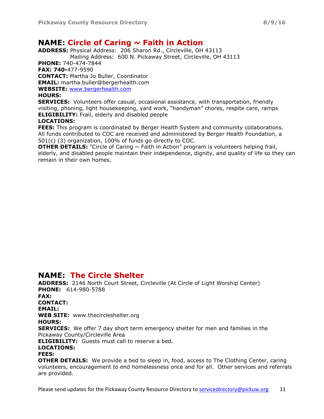## NAME: Circle of Caring  $\sim$  Faith in Action

ADDRESS: Physical Address: 206 Sharon Rd., Circleville, OH 43113 Mailing Address: 600 N. Pickaway Street, Circleville, OH 43113 PHONE: 740-474-7844 FAX: 740-477-9590 CONTACT: Martha Jo Buller, Coordinator EMAIL: martha.buller@bergerhealth.com WEBSITE: www.bergerhealth.com

#### HOURS:

**SERVICES:** Volunteers offer casual, occasional assistance, with transportation, friendly visiting, phoning, light housekeeping, yard work, "handyman" chores, respite care, ramps **ELIGIBILITY:** Frail, elderly and disabled people

#### LOCATIONS:

FEES: This program is coordinated by Berger Health System and community collaborations. All funds contributed to COC are received and administered by Berger Health Foundation, a 501(c) (3) organization, 100% of funds go directly to COC.

**OTHER DETAILS:** "Circle of Caring  $\sim$  Faith in Action" program is volunteers helping frail, elderly, and disabled people maintain their independence, dignity, and quality of life so they can remain in their own homes.

## NAME: The Circle Shelter

ADDRESS: 2146 North Court Street, Circleville (At Circle of Light Worship Center) PHONE: 614-980-5788 FAX: CONTACT: EMAIL: WEB SITE: www.thecircleshelter.org HOURS: **SERVICES:** We offer 7 day short term emergency shelter for men and families in the Pickaway County/Circleville Area **ELIGIBILITY:** Guests must call to reserve a bed. LOCATIONS: FEES:

**OTHER DETAILS:** We provide a bed to sleep in, food, access to The Clothing Center, caring volunteers, encouragement to end homelessness once and for all. Other services and referrals are provided.

Please send updates for the Pickaway County Resource Directory to servicedirectory@pickuw.org 11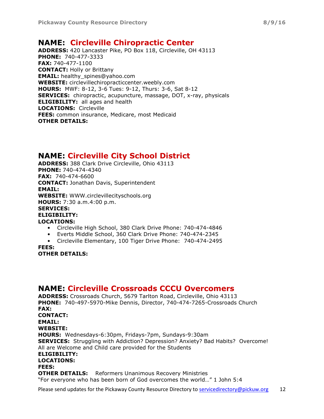## NAME: Circleville Chiropractic Center

ADDRESS: 420 Lancaster Pike, PO Box 118, Circleville, OH 43113 PHONE: 740-477-3333 FAX: 740-477-1100 CONTACT: Holly or Brittany EMAIL: healthy\_spines@yahoo.com WEBSITE: circlevillechiropracticcenter.weebly.com HOURS: MWF: 8-12, 3-6 Tues: 9-12, Thurs: 3-6, Sat 8-12 SERVICES: chiropractic, acupuncture, massage, DOT, x-ray, physicals **ELIGIBILITY:** all ages and health LOCATIONS: Circleville FEES: common insurance, Medicare, most Medicaid OTHER DETAILS:

## NAME: Circleville City School District

ADDRESS: 388 Clark Drive Circleville, Ohio 43113 PHONE: 740-474-4340 FAX: 740-474-6600 CONTACT: Jonathan Davis, Superintendent EMAIL: WEBSITE: WWW.circlevillecityschools.org HOURS: 7:30 a.m.4:00 p.m. SERVICES: ELIGIBILITY: LOCATIONS: • Circleville High School, 380 Clark Drive Phone: 740-474-4846 • Everts Middle School, 360 Clark Drive Phone: 740-474-2345

• Circleville Elementary, 100 Tiger Drive Phone: 740-474-2495

#### FEES:

#### OTHER DETAILS:

## NAME: Circleville Crossroads CCCU Overcomers

ADDRESS: Crossroads Church, 5679 Tarlton Road, Circleville, Ohio 43113 PHONE: 740-497-5970-Mike Dennis, Director, 740-474-7265-Crossroads Church FAX: CONTACT: EMAIL: WEBSITE: HOURS: Wednesdays-6:30pm, Fridays-7pm, Sundays-9:30am SERVICES: Struggling with Addiction? Depression? Anxiety? Bad Habits? Overcome! All are Welcome and Child care provided for the Students ELIGIBILITY: LOCATIONS: FEES: **OTHER DETAILS:** Reformers Unanimous Recovery Ministries

"For everyone who has been born of God overcomes the world…" 1 John 5:4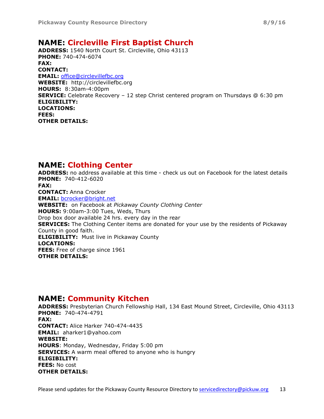## NAME: Circleville First Baptist Church

ADDRESS: 1540 North Court St. Circleville, Ohio 43113 PHONE: 740-474-6074 FAX: CONTACT: EMAIL: office@circlevillefbc.org WEBSITE: http://circlevillefbc.org HOURS: 8:30am-4:00pm SERVICE: Celebrate Recovery – 12 step Christ centered program on Thursdays @ 6:30 pm ELIGIBILITY: LOCATIONS: FEES: OTHER DETAILS:

## NAME: Clothing Center

ADDRESS: no address available at this time - check us out on Facebook for the latest details PHONE: 740-412-6020 FAX: CONTACT: Anna Crocker EMAIL: bcrocker@bright.net WEBSITE: on Facebook at Pickaway County Clothing Center HOURS: 9:00am-3:00 Tues, Weds, Thurs Drop box door available 24 hrs. every day in the rear **SERVICES:** The Clothing Center items are donated for your use by the residents of Pickaway County in good faith. **ELIGIBILITY:** Must live in Pickaway County LOCATIONS: FEES: Free of charge since 1961 OTHER DETAILS:

## NAME: Community Kitchen

ADDRESS: Presbyterian Church Fellowship Hall, 134 East Mound Street, Circleville, Ohio 43113 PHONE: 740-474-4791 FAX: CONTACT: Alice Harker 740-474-4435 EMAIL: aharker1@yahoo.com WEBSITE: HOURS: Monday, Wednesday, Friday 5:00 pm **SERVICES:** A warm meal offered to anyone who is hungry ELIGIBILITY: FEES: No cost OTHER DETAILS: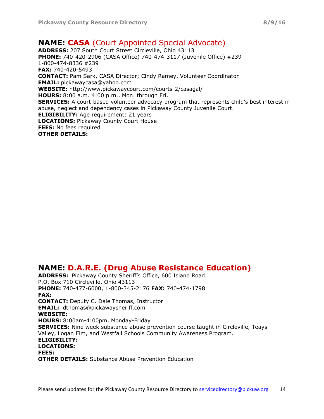## NAME: CASA (Court Appointed Special Advocate)

ADDRESS: 207 South Court Street Circleville, Ohio 43113 PHONE: 740-420-2906 (CASA Office) 740-474-3117 (Juvenile Office) #239 1-800-474-8336 #239 FAX: 740-420-5493 CONTACT: Pam Sark, CASA Director; Cindy Ramey, Volunteer Coordinator EMAIL: pickawaycasa@yahoo.com WEBSITE: http://www.pickawaycourt.com/courts-2/casagal/ HOURS: 8:00 a.m. 4:00 p.m., Mon. through Fri. **SERVICES:** A court-based volunteer advocacy program that represents child's best interest in abuse, neglect and dependency cases in Pickaway County Juvenile Court. **ELIGIBILITY:** Age requirement: 21 years **LOCATIONS: Pickaway County Court House** FEES: No fees required OTHER DETAILS:

## NAME: D.A.R.E. (Drug Abuse Resistance Education)

ADDRESS: Pickaway County Sheriff's Office, 600 Island Road P.O. Box 710 Circleville, Ohio 43113 PHONE: 740-477-6000, 1-800-345-2176 FAX: 740-474-1798 FAX: CONTACT: Deputy C. Dale Thomas, Instructor EMAIL: dthomas@pickawaysheriff.com WEBSITE: HOURS: 8:00am-4:00pm, Monday-Friday **SERVICES:** Nine week substance abuse prevention course taught in Circleville, Teays Valley, Logan Elm, and Westfall Schools Community Awareness Program. ELIGIBILITY: LOCATIONS: FEES: **OTHER DETAILS:** Substance Abuse Prevention Education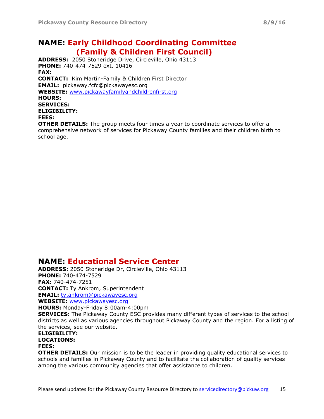## NAME: Early Childhood Coordinating Committee (Family & Children First Council)

ADDRESS: 2050 Stoneridge Drive, Circleville, Ohio 43113 PHONE: 740-474-7529 ext. 10416 FAX: CONTACT: Kim Martin-Family & Children First Director EMAIL: pickaway.fcfc@pickawayesc.org WEBSITE: www.pickawayfamilyandchildrenfirst.org HOURS: SERVICES: ELIGIBILITY: FEES:

**OTHER DETAILS:** The group meets four times a year to coordinate services to offer a comprehensive network of services for Pickaway County families and their children birth to school age.

## NAME: Educational Service Center

ADDRESS: 2050 Stoneridge Dr, Circleville, Ohio 43113 PHONE: 740-474-7529 FAX: 740-474-7251 CONTACT: Ty Ankrom, Superintendent EMAIL: ty.ankrom@pickawayesc.org WEBSITE: www.pickawayesc.org HOURS: Monday-Friday 8:00am-4:00pm **SERVICES:** The Pickaway County ESC provides many different types of services to the school districts as well as various agencies throughout Pickaway County and the region. For a listing of the services, see our website. ELIGIBILITY: LOCATIONS:

#### FEES:

**OTHER DETAILS:** Our mission is to be the leader in providing quality educational services to schools and families in Pickaway County and to facilitate the collaboration of quality services among the various community agencies that offer assistance to children.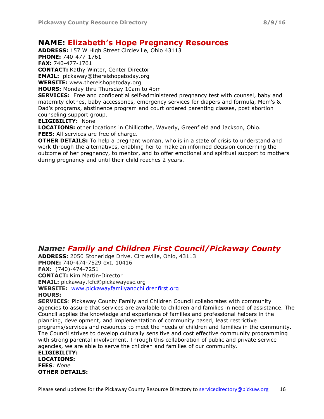## NAME: Elizabeth's Hope Pregnancy Resources

ADDRESS: 157 W High Street Circleville, Ohio 43113

PHONE: 740-477-1761

FAX: 740-477-1761

CONTACT: Kathy Winter, Center Director EMAIL: pickaway@thereishopetoday.org

WEBSITE: www.thereishopetoday.org

HOURS: Monday thru Thursday 10am to 4pm

SERVICES: Free and confidential self-administered pregnancy test with counsel, baby and maternity clothes, baby accessories, emergency services for diapers and formula, Mom's & Dad's programs, abstinence program and court ordered parenting classes, post abortion counseling support group.

#### ELIGIBILITY: None

LOCATIONS: other locations in Chillicothe, Waverly, Greenfield and Jackson, Ohio. FEES: All services are free of charge.

**OTHER DETAILS:** To help a pregnant woman, who is in a state of crisis to understand and work through the alternatives, enabling her to make an informed decision concerning the outcome of her pregnancy, to mentor, and to offer emotional and spiritual support to mothers during pregnancy and until their child reaches 2 years.

## Name: Family and Children First Council/Pickaway County

ADDRESS: 2050 Stoneridge Drive, Circleville, Ohio, 43113 PHONE: 740-474-7529 ext. 10416 FAX: (740)-474-7251 CONTACT: Kim Martin-Director EMAIL: pickaway.fcfc@pickawayesc.org WEBSITE: www.pickawayfamilyandchildrenfirst.org HOURS:

SERVICES: Pickaway County Family and Children Council collaborates with community agencies to assure that services are available to children and families in need of assistance. The Council applies the knowledge and experience of families and professional helpers in the planning, development, and implementation of community based, least restrictive programs/services and resources to meet the needs of children and families in the community. The Council strives to develop culturally sensitive and cost effective community programming with strong parental involvement. Through this collaboration of public and private service agencies, we are able to serve the children and families of our community.

ELIGIBILITY: LOCATIONS: **FEES: None** OTHER DETAILS: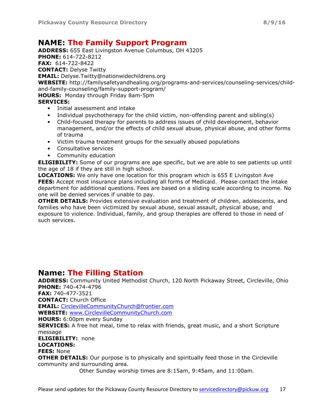## NAME: The Family Support Program

ADDRESS: 655 East Livingston Avenue Columbus, OH 43205 PHONE: 614-722-8212 FAX: 614-722-8422 CONTACT: Delyse Twitty EMAIL: Delyse.Twitty@nationwidechildrens.org WEBSITE: http://familysafetyandhealing.org/programs-and-services/counseling-services/childand-family-counseling/family-support-program/ HOURS: Monday through Friday 8am-5pm

#### SERVICES:

- Initial assessment and intake
- Individual psychotherapy for the child victim, non-offending parent and sibling(s)
- Child-focused therapy for parents to address issues of child development, behavior management, and/or the effects of child sexual abuse, physical abuse, and other forms of trauma
- Victim trauma treatment groups for the sexually abused populations
- Consultative services
- Community education

**ELIGIBILITY:** Some of our programs are age specific, but we are able to see patients up until the age of 18 if they are still in high school.

LOCATIONS: We only have one location for this program which is 655 E Livingston Ave **FEES:** Accept most insurance plans including all forms of Medicaid. Please contact the intake department for additional questions. Fees are based on a sliding scale according to income. No one will be denied services if unable to pay.

**OTHER DETAILS:** Provides extensive evaluation and treatment of children, adolescents, and families who have been victimized by sexual abuse, sexual assault, physical abuse, and exposure to violence. Individual, family, and group therapies are offered to those in need of such services.

## Name: The Filling Station

ADDRESS: Community United Methodist Church, 120 North Pickaway Street, Circleville, Ohio PHONE: 740-474-4796 FAX: 740-477-3521 CONTACT: Church Office EMAIL: CirclevilleCommunityChurch@frontier.com WEBSITE: www.CirclevilleCommunityChurch.com HOURS: 6:00pm every Sunday SERVICES: A free hot meal, time to relax with friends, great music, and a short Scripture message ELIGIBILITY: none LOCATIONS: FEES: None **OTHER DETAILS:** Our purpose is to physically and spiritually feed those in the Circleville community and surrounding area. Other Sunday worship times are 8:15am, 9:45am, and 11:00am.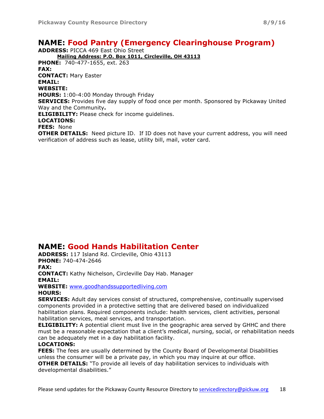## NAME: Food Pantry (Emergency Clearinghouse Program)

ADDRESS: PICCA 469 East Ohio Street Mailing Address: P.O. Box 1011, Circleville, OH 43113 PHONE: 740-477-1655, ext. 263 FAX: CONTACT: Mary Easter EMAIL: WEBSITE: HOURS: 1:00-4:00 Monday through Friday **SERVICES:** Provides five day supply of food once per month. Sponsored by Pickaway United Way and the Community. ELIGIBILITY: Please check for income guidelines. LOCATIONS: FEES: None

**OTHER DETAILS:** Need picture ID. If ID does not have your current address, you will need verification of address such as lease, utility bill, mail, voter card.

## NAME: Good Hands Habilitation Center

ADDRESS: 117 Island Rd. Circleville, Ohio 43113 PHONE: 740-474-2646 FAX: CONTACT: Kathy Nichelson, Circleville Day Hab. Manager EMAIL: WEBSITE: www.goodhandssupportedliving.com HOURS:

SERVICES: Adult day services consist of structured, comprehensive, continually supervised components provided in a protective setting that are delivered based on individualized habilitation plans. Required components include: health services, client activities, personal habilitation services, meal services, and transportation.

**ELIGIBILITY:** A potential client must live in the geographic area served by GHHC and there must be a reasonable expectation that a client's medical, nursing, social, or rehabilitation needs can be adequately met in a day habilitation facility.

#### LOCATIONS:

**FEES:** The fees are usually determined by the County Board of Developmental Disabilities unless the consumer will be a private pay, in which you may inquire at our office. **OTHER DETAILS:** "To provide all levels of day habilitation services to individuals with developmental disabilities."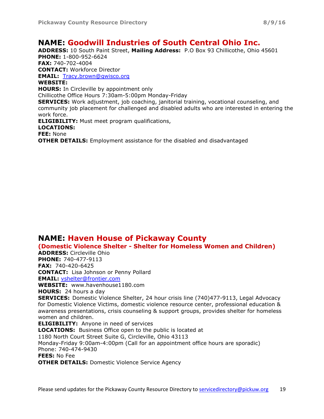## NAME: Goodwill Industries of South Central Ohio Inc.

ADDRESS: 10 South Paint Street, Mailing Address: P.O Box 93 Chillicothe, Ohio 45601 PHONE: 1-800-952-6624 FAX: 740-702-4004 CONTACT: Workforce Director EMAIL: Tracy.brown@gwisco.org WEBSITE: HOURS: In Circleville by appointment only Chillicothe Office Hours 7:30am-5:00pm Monday-Friday SERVICES: Work adjustment, job coaching, janitorial training, vocational counseling, and community job placement for challenged and disabled adults who are interested in entering the work force. ELIGIBILITY: Must meet program qualifications, LOCATIONS: FEE: None

OTHER DETAILS: Employment assistance for the disabled and disadvantaged

## NAME: Haven House of Pickaway County

(Domestic Violence Shelter - Shelter for Homeless Women and Children)

ADDRESS: Circleville Ohio PHONE: 740-477-9113 FAX: 740-420-6425 CONTACT: Lisa Johnson or Penny Pollard EMAIL: vshelter@frontier.com

WEBSITE: www.havenhouse1180.com HOURS: 24 hours a day

SERVICES: Domestic Violence Shelter, 24 hour crisis line (740)477-9113, Legal Advocacy for Domestic Violence Victims, domestic violence resource center, professional education & awareness presentations, crisis counseling & support groups, provides shelter for homeless women and children.

**ELIGIBILITY:** Anyone in need of services LOCATIONS: Business Office open to the public is located at 1180 North Court Street Suite G, Circleville, Ohio 43113 Monday-Friday 9:00am-4:00pm (Call for an appointment office hours are sporadic) Phone: 740-474-9430 FEES: No Fee **OTHER DETAILS: Domestic Violence Service Agency**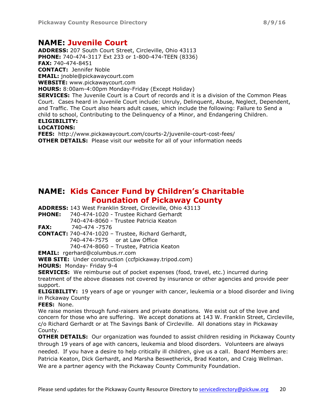## NAME: Juvenile Court

ADDRESS: 207 South Court Street, Circleville, Ohio 43113 PHONE: 740-474-3117 Ext 233 or 1-800-474-TEEN (8336) FAX: 740-474-8451 CONTACT: Jennifer Noble EMAIL: jnoble@pickawaycourt.com WEBSITE: www.pickawaycourt.com HOURS: 8:00am-4:00pm Monday-Friday (Except Holiday) **SERVICES:** The Juvenile Court is a Court of records and it is a division of the Common Pleas Court. Cases heard in Juvenile Court include: Unruly, Delinquent, Abuse, Neglect, Dependent, and Traffic. The Court also hears adult cases, which include the following: Failure to Send a child to school, Contributing to the Delinquency of a Minor, and Endangering Children. ELIGIBILITY: LOCATIONS: FEES: http://www.pickawaycourt.com/courts-2/juvenile-court-cost-fees/

**OTHER DETAILS:** Please visit our website for all of your information needs

## NAME: Kids Cancer Fund by Children's Charitable Foundation of Pickaway County

ADDRESS: 143 West Franklin Street, Circleville, Ohio 43113

PHONE: 740-474-1020 - Trustee Richard Gerhardt

740-474-8060 - Trustee Patricia Keaton

FAX: 740-474 -7576

CONTACT: 740-474-1020 – Trustee, Richard Gerhardt,

740-474-7575 or at Law Office

740-474-8060 – Trustee, Patricia Keaton

EMAIL: rgerhard@columbus.rr.com

WEB SITE: Under construction (ccfpickaway.tripod.com)

HOURS: Monday- Friday 9-4

**SERVICES:** We reimburse out of pocket expenses (food, travel, etc.) incurred during treatment of the above diseases not covered by insurance or other agencies and provide peer support.

**ELIGIBILITY:** 19 years of age or younger with cancer, leukemia or a blood disorder and living in Pickaway County

FEES: None.

We raise monies through fund-raisers and private donations. We exist out of the love and concern for those who are suffering. We accept donations at 143 W. Franklin Street, Circleville, c/o Richard Gerhardt or at The Savings Bank of Circleville. All donations stay in Pickaway County.

**OTHER DETAILS:** Our organization was founded to assist children residing in Pickaway County through 19 years of age with cancers, leukemia and blood disorders. Volunteers are always needed. If you have a desire to help critically ill children, give us a call. Board Members are: Patricia Keaton, Dick Gerhardt, and Marsha Beswetherick, Brad Keaton, and Craig Wellman. We are a partner agency with the Pickaway County Community Foundation.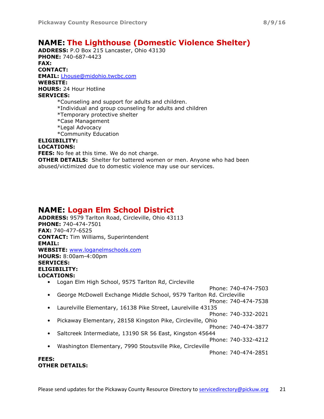## NAME: The Lighthouse (Domestic Violence Shelter)

ADDRESS: P.O Box 215 Lancaster, Ohio 43130 PHONE: 740-687-4423 FAX: CONTACT: EMAIL: Lhouse@midohio.twcbc.com WEBSITE: HOURS: 24 Hour Hotline SERVICES: \*Counseling and support for adults and children. \*Individual and group counseling for adults and children \*Temporary protective shelter \*Case Management

\*Legal Advocacy

\*Community Education

#### ELIGIBILITY:

#### LOCATIONS:

FEES: No fee at this time. We do not charge.

**OTHER DETAILS:** Shelter for battered women or men. Anyone who had been abused/victimized due to domestic violence may use our services.

## NAME: Logan Elm School District

ADDRESS: 9579 Tarlton Road, Circleville, Ohio 43113 PHONE: 740-474-7501 FAX: 740-477-6525 CONTACT: Tim Williams, Superintendent EMAIL: WEBSITE: www.loganelmschools.com HOURS: 8:00am-4:00pm SERVICES: ELIGIBILITY: LOCATIONS: • Logan Elm High School, 9575 Tarlton Rd, Circleville Phone: 740-474-7503 • George McDowell Exchange Middle School, 9579 Tarlton Rd. Circleville Phone: 740-474-7538 • Laurelville Elementary, 16138 Pike Street, Laurelville 43135 Phone: 740-332-2021 • Pickaway Elementary, 28158 Kingston Pike, Circleville, Ohio Phone: 740-474-3877 • Saltcreek Intermediate, 13190 SR 56 East, Kingston 45644 Phone: 740-332-4212 • Washington Elementary, 7990 Stoutsville Pike, Circleville Phone: 740-474-2851

#### FEES: OTHER DETAILS: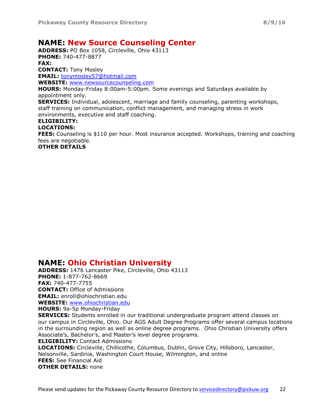## NAME: New Source Counseling Center

ADDRESS: PO Box 1058, Circleville, Ohio 43113 PHONE: 740-477-8877 FAX: CONTACT: Tony Mosley EMAIL: tonymosley57@hotmail.com WEBSITE: www.newsourcecounseling.com HOURS: Monday-Friday 8:00am-5:00pm. Some evenings and Saturdays available by appointment only.

SERVICES: Individual, adolescent, marriage and family counseling, parenting workshops, staff training on communication, conflict management, and managing stress in work environments, executive and staff coaching.

#### ELIGIBILITY:

#### LOCATIONS:

**FEES:** Counseling is \$110 per hour. Most insurance accepted. Workshops, training and coaching fees are negotiable.

#### OTHER DETAILS

## NAME: Ohio Christian University

ADDRESS: 1476 Lancaster Pike, Circleville, Ohio 43113 PHONE: 1-877-762-8669 FAX: 740-477-7755 CONTACT: Office of Admissions EMAIL: enroll@ohiochristian.edu WEBSITE: www.ohiochristian.edu

HOURS: 9a-5p Monday-Friday

**SERVICES:** Students enrolled in our traditional undergraduate program attend classes on our campus in Circleville, Ohio. Our AGS Adult Degree Programs offer several campus locations in the surrounding region as well as online degree programs. Ohio Christian University offers Associate's, Bachelor's, and Master's level degree programs.

ELIGIBILITY: Contact Admissions

LOCATIONS: Circleville, Chillicothe, Columbus, Dublin, Grove City, Hillsboro, Lancaster, Nelsonville, Sardinia, Washington Court House, Wilmington, and online FEES: See Financial Aid OTHER DETAILS: none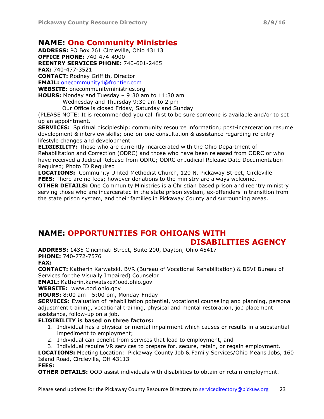## NAME: One Community Ministries

ADDRESS: PO Box 261 Circleville, Ohio 43113 OFFICE PHONE: 740-474-4900

REENTRY SERVICES PHONE: 740-601-2465

FAX: 740-477-3521

CONTACT: Rodney Griffith, Director

EMAIL: onecommunity1@frontier.com

WEBSITE: onecommunityministries.org

HOURS: Monday and Tuesday – 9:30 am to 11:30 am Wednesday and Thursday 9:30 am to 2 pm

Our Office is closed Friday, Saturday and Sunday

(PLEASE NOTE: It is recommended you call first to be sure someone is available and/or to set up an appointment.

**SERVICES:** Spiritual discipleship; community resource information; post-incarceration resume development & interview skills; one-on-one consultation & assistance regarding re-entry lifestyle changes and development

**ELIGIBILITY:** Those who are currently incarcerated with the Ohio Department of Rehabilitation and Correction (ODRC) and those who have been released from ODRC or who have received a Judicial Release from ODRC; ODRC or Judicial Release Date Documentation Required; Photo ID Required

LOCATIONS: Community United Methodist Church, 120 N. Pickaway Street, Circleville **FEES:** There are no fees; however donations to the ministry are always welcome.

**OTHER DETAILS:** One Community Ministries is a Christian based prison and reentry ministry serving those who are incarcerated in the state prison system, ex-offenders in transition from the state prison system, and their families in Pickaway County and surrounding areas.

## NAME: OPPORTUNITIES FOR OHIOANS WITH

## DISABILITIES AGENCY

ADDRESS: 1435 Cincinnati Street, Suite 200, Dayton, Ohio 45417 PHONE: 740-772-7576

#### FAX:

CONTACT: Katherin Karwatski, BVR (Bureau of Vocational Rehabilitation) & BSVI Bureau of Services for the Visually Impaired) Counselor

EMAIL: Katherin.karwatske@ood.ohio.gov

WEBSITE: www.ood.ohio.gov

HOURS: 8:00 am - 5:00 pm, Monday-Friday

SERVICES: Evaluation of rehabilitation potential, vocational counseling and planning, personal adjustment training, vocational training, physical and mental restoration, job placement assistance, follow-up on a job.

#### ELIGIBILITY is based on three factors:

- 1. Individual has a physical or mental impairment which causes or results in a substantial impediment to employment;
- 2. Individual can benefit from services that lead to employment, and
- 3. Individual require VR services to prepare for, secure, retain, or regain employment.

LOCATIONS: Meeting Location: Pickaway County Job & Family Services/Ohio Means Jobs, 160 Island Road, Circleville, OH 43113

#### FEES:

**OTHER DETAILS:** OOD assist individuals with disabilities to obtain or retain employment.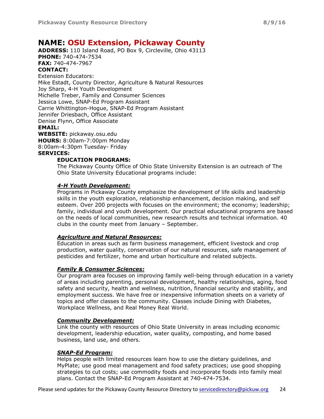## NAME: OSU Extension, Pickaway County

ADDRESS: 110 Island Road, PO Box 9, Circleville, Ohio 43113 PHONE: 740-474-7534 FAX: 740-474-7967 CONTACT:

Extension Educators: Mike Estadt, County Director, Agriculture & Natural Resources Joy Sharp, 4-H Youth Development Michelle Treber, Family and Consumer Sciences Jessica Lowe, SNAP-Ed Program Assistant Carrie Whittington-Hogue, SNAP-Ed Program Assistant Jennifer Driesbach, Office Assistant Denise Flynn, Office Associate

#### EMAIL:

WEBSITE: pickaway.osu.edu HOURS: 8:00am-7:00pm Monday 8:00am-4:30pm Tuesday- Friday SERVICES:

#### EDUCATION PROGRAMS:

The Pickaway County Office of Ohio State University Extension is an outreach of The Ohio State University Educational programs include:

#### 4-H Youth Development:

Programs in Pickaway County emphasize the development of life skills and leadership skills in the youth exploration, relationship enhancement, decision making, and self esteem. Over 200 projects with focuses on the environment; the economy; leadership; family, individual and youth development. Our practical educational programs are based on the needs of local communities, new research results and technical information. 40 clubs in the county meet from January – September.

#### Agriculture and Natural Resources:

Education in areas such as farm business management, efficient livestock and crop production, water quality, conservation of our natural resources, safe management of pesticides and fertilizer, home and urban horticulture and related subjects.

#### Family & Consumer Sciences:

Our program area focuses on improving family well-being through education in a variety of areas including parenting, personal development, healthy relationships, aging, food safety and security, health and wellness, nutrition, financial security and stability, and employment success. We have free or inexpensive information sheets on a variety of topics and offer classes to the community. Classes include Dining with Diabetes, Workplace Wellness, and Real Money Real World.

#### Community Development:

Link the county with resources of Ohio State University in areas including economic development, leadership education, water quality, composting, and home based business, land use, and others.

#### SNAP-Ed Program:

Helps people with limited resources learn how to use the dietary guidelines, and MyPlate; use good meal management and food safety practices; use good shopping strategies to cut costs; use commodity foods and incorporate foods into family meal plans. Contact the SNAP-Ed Program Assistant at 740-474-7534.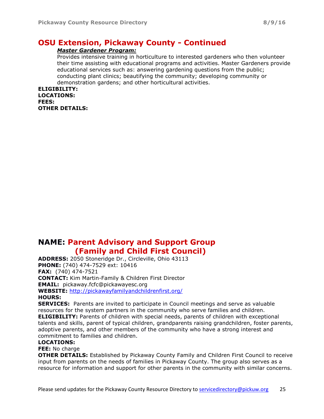## OSU Extension, Pickaway County - Continued

#### Master Gardener Program:

Provides intensive training in horticulture to interested gardeners who then volunteer their time assisting with educational programs and activities. Master Gardeners provide educational services such as: answering gardening questions from the public; conducting plant clinics; beautifying the community; developing community or demonstration gardens; and other horticultural activities.

ELIGIBILITY: LOCATIONS: FEES: OTHER DETAILS:

## NAME: Parent Advisory and Support Group (Family and Child First Council)

ADDRESS: 2050 Stoneridge Dr., Circleville, Ohio 43113 PHONE: (740) 474-7529 ext: 10416 FAX: (740) 474-7521 CONTACT: Kim Martin-Family & Children First Director EMAIL: pickaway.fcfc@pickawayesc.org WEBSITE: http://pickawayfamilyandchildrenfirst.org/ HOURS:

**SERVICES:** Parents are invited to participate in Council meetings and serve as valuable resources for the system partners in the community who serve families and children. **ELIGIBILITY:** Parents of children with special needs, parents of children with exceptional talents and skills, parent of typical children, grandparents raising grandchildren, foster parents, adoptive parents, and other members of the community who have a strong interest and commitment to families and children.

#### LOCATIONS:

#### FEE: No charge

**OTHER DETAILS:** Established by Pickaway County Family and Children First Council to receive input from parents on the needs of families in Pickaway County. The group also serves as a resource for information and support for other parents in the community with similar concerns.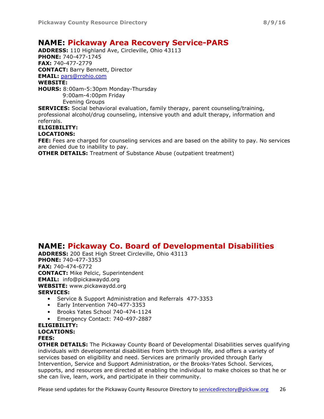## NAME: Pickaway Area Recovery Service-PARS

ADDRESS: 110 Highland Ave, Circleville, Ohio 43113 PHONE: 740-477-1745 FAX: 740-477-2779 CONTACT: Barry Bennett, Director EMAIL: pars@rrohio.com WEBSITE: HOURS: 8:00am-5:30pm Monday-Thursday 9:00am-4:00pm Friday Evening Groups SERVICES: Social behavioral evaluation, family therapy, parent counseling/training, professional alcohol/drug counseling, intensive youth and adult therapy, information and referrals. ELIGIBILITY:

#### LOCATIONS:

**FEE:** Fees are charged for counseling services and are based on the ability to pay. No services are denied due to inability to pay.

**OTHER DETAILS:** Treatment of Substance Abuse (outpatient treatment)

## NAME: Pickaway Co. Board of Developmental Disabilities

ADDRESS: 200 East High Street Circleville, Ohio 43113 PHONE: 740-477-3353 FAX: 740-474-6772 CONTACT: Mike Pelcic, Superintendent EMAIL: info@pickawaydd.org WEBSITE: www.pickawaydd.org SERVICES:

- Service & Support Administration and Referrals 477-3353
- Early Intervention 740-477-3353
- Brooks Yates School 740-474-1124
- Emergency Contact: 740-497-2887

#### ELIGIBILITY: LOCATIONS: FEES:

#### **OTHER DETAILS:** The Pickaway County Board of Developmental Disabilities serves qualifying individuals with developmental disabilities from birth through life, and offers a variety of services based on eligibility and need. Services are primarily provided through Early Intervention, Service and Support Administration, or the Brooks-Yates School. Services, supports, and resources are directed at enabling the individual to make choices so that he or she can live, learn, work, and participate in their community.

Please send updates for the Pickaway County Resource Directory to servicedirectory@pickuw.org 26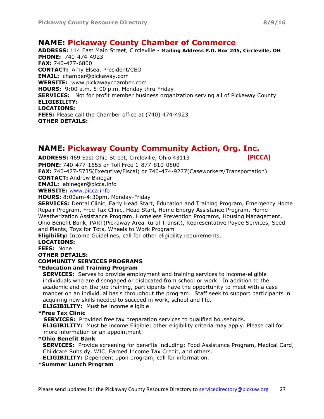## NAME: Pickaway County Chamber of Commerce

ADDRESS: 114 East Main Street, Circleville - Mailing Address P.O. Box 245, Circleville, OH PHONE: 740-474-4923 FAX: 740-477-6800 CONTACT: Amy Elsea, President/CEO EMAIL: chamber@pickaway.com WEBSITE: www.pickawaychamber.com HOURS: 9:00 a.m. 5:00 p.m. Monday thru Friday SERVICES: Not for profit member business organization serving all of Pickaway County ELIGIBILITY: LOCATIONS: FEES: Please call the Chamber office at (740) 474-4923 OTHER DETAILS:

## NAME: Pickaway County Community Action, Org. Inc.

ADDRESS: 469 East Ohio Street, Circleville, Ohio 43113 (PICCA) PHONE: 740-477-1655 or Toll Free 1-877-810-0500 FAX: 740-477-5735(Executive/Fiscal) or 740-474-9277(Caseworkers/Transportation) CONTACT: Andrew Binegar EMAIL: abinegar@picca.info WEBSITE: www.picca.info HOURS: 8:00am-4:30pm, Monday-Friday **SERVICES:** Dental Clinic, Early Head Start, Education and Training Program, Emergency Home

Repair Program, Free Tax Clinic, Head Start, Home Energy Assistance Program, Home Weatherization Assistance Program, Homeless Prevention Programs, Housing Management, Ohio Benefit Bank, PART(Pickaway Area Rural Transit), Representative Payee Services, Seed and Plants, Toys for Tots, Wheels to Work Program

Eligibility: Income Guidelines, call for other eligibility requirements.

#### LOCATIONS:

FEES: None

OTHER DETAILS:

#### COMMUNITY SERVICES PROGRAMS

#### \*Education and Training Program

SERVICES: Serves to provide employment and training services to income-eligible individuals who are disengaged or dislocated from school or work. In addition to the academic and on the job training, participants have the opportunity to meet with a case manger on an individual basis throughout the program. Staff seek to support participants in acquiring new skills needed to succeed in work, school and life.

**ELIGIBILITY:** Must be income eligible

#### \*Free Tax Clinic

**SERVICES:** Provided free tax preparation services to qualified households. **ELIGIBILITY:** Must be income Eligible; other eligibility criteria may apply. Please call for more information or an appointment.

#### \*Ohio Benefit Bank

SERVICES: Provide screening for benefits including: Food Assistance Program, Medical Card, Childcare Subsidy, WIC, Earned Income Tax Credit, and others.

ELIGIBILITY: Dependent upon program, call for information.

#### \*Summer Lunch Program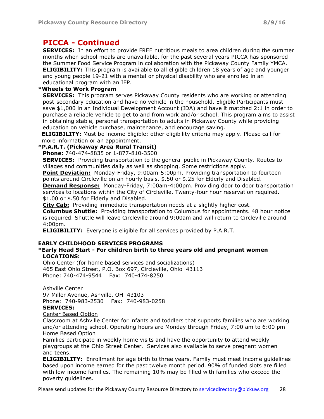**SERVICES:** In an effort to provide FREE nutritious meals to area children during the summer months when school meals are unavailable, for the past several years PICCA has sponsored the Summer Food Service Program in collaboration with the Pickaway County Family YMCA. **ELIGIBILITY:** This program is available to all eligible children 18 years of age and younger and young people 19-21 with a mental or physical disability who are enrolled in an educational program with an IEP.

#### \*Wheels to Work Program

**SERVICES:** This program serves Pickaway County residents who are working or attending post-secondary education and have no vehicle in the household. Eligible Participants must save \$1,000 in an Individual Development Account (IDA) and have it matched 2:1 in order to purchase a reliable vehicle to get to and from work and/or school. This program aims to assist in obtaining stable, personal transportation to adults in Pickaway County while providing education on vehicle purchase, maintenance, and encourage saving.

**ELIGIBILITY:** Must be income Eligible; other eligibility criteria may apply. Please call for more information or an appointment.

#### \*P.A.R.T. (Pickaway Area Rural Transit)

Phone: 740-474-8835 or 1-877-810-3500

**SERVICES:** Providing transportation to the general public in Pickaway County. Routes to villages and communities daily as well as shopping. Some restrictions apply.

Point Deviation: Monday-Friday, 9:00am-5:00pm. Providing transportation to fourteen points around Circleville on an hourly basis. \$.50 or \$.25 for Elderly and Disabled.

**Demand Response:** Monday-Friday, 7:00am-4:00pm. Providing door to door transportation services to locations within the City of Circleville. Twenty-four hour reservation required. \$1.00 or \$.50 for Elderly and Disabled.

**City Cab:** Providing immediate transportation needs at a slightly higher cost.

**Columbus Shuttle:** Providing transportation to Columbus for appointments. 48 hour notice is required. Shuttle will leave Circleville around 9:00am and will return to Circleville around 4:00pm.

ELIGIBILITY: Everyone is eligible for all services provided by P.A.R.T.

#### EARLY CHILDHOOD SERVICES PROGRAMS

#### \*Early Head Start - For children birth to three years old and pregnant women LOCATIONS:

Ohio Center (for home based services and socializations) 465 East Ohio Street, P.O. Box 697, Circleville, Ohio 43113 Phone: 740-474-9544 Fax: 740-474-8250

Ashville Center 97 Miller Avenue, Ashville, OH 43103 Phone: 740-983-2530 Fax: 740-983-0258 SERVICES:

#### Center Based Option

Classroom at Ashville Center for infants and toddlers that supports families who are working and/or attending school. Operating hours are Monday through Friday, 7:00 am to 6:00 pm Home Based Option

Families participate in weekly home visits and have the opportunity to attend weekly playgroups at the Ohio Street Center. Services also available to serve pregnant women and teens.

**ELIGIBILITY:** Enrollment for age birth to three years. Family must meet income quidelines based upon income earned for the past twelve month period. 90% of funded slots are filled with low-income families. The remaining 10% may be filled with families who exceed the poverty guidelines.

Please send updates for the Pickaway County Resource Directory to servicedirectory@pickuw.org 28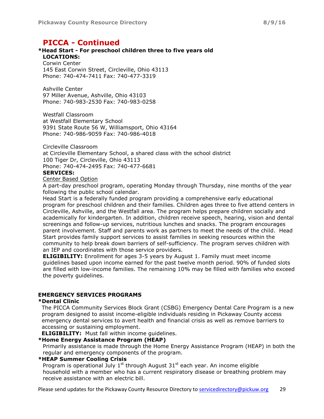## PICCA - Continued

## \*Head Start - For preschool children three to five years old

LOCATIONS: Corwin Center 145 East Corwin Street, Circleville, Ohio 43113 Phone: 740-474-7411 Fax: 740-477-3319

Ashville Center 97 Miller Avenue, Ashville, Ohio 43103 Phone: 740-983-2530 Fax: 740-983-0258

Westfall Classroom at Westfall Elementary School 9391 State Route 56 W, Williamsport, Ohio 43164 Phone: 740-986-9059 Fax: 740-986-4018

Circleville Classroom at Circleville Elementary School, a shared class with the school district 100 Tiger Dr, Circleville, Ohio 43113 Phone: 740-474-2495 Fax: 740-477-6681 SERVICES:

## Center Based Option

A part-day preschool program, operating Monday through Thursday, nine months of the year

following the public school calendar.

Head Start is a federally funded program providing a comprehensive early educational program for preschool children and their families. Children ages three to five attend centers in Circleville, Ashville, and the Westfall area. The program helps prepare children socially and academically for kindergarten. In addition, children receive speech, hearing, vision and dental screenings and follow-up services, nutritious lunches and snacks. The program encourages parent involvement. Staff and parents work as partners to meet the needs of the child. Head Start provides family support services to assist families in seeking resources within the community to help break down barriers of self-sufficiency. The program serves children with an IEP and coordinates with those service providers.

**ELIGIBILITY:** Enrollment for ages 3-5 years by August 1. Family must meet income guidelines based upon income earned for the past twelve month period. 90% of funded slots are filled with low-income families. The remaining 10% may be filled with families who exceed the poverty guidelines.

#### EMERGENCY SERVICES PROGRAMS

#### \*Dental Clinic

 The PICCA Community Services Block Grant (CSBG) Emergency Dental Care Program is a new program designed to assist income-eligible individuals residing in Pickaway County access emergency dental services to avert health and financial crisis as well as remove barriers to accessing or sustaining employment.

**ELIGIBILITY:** Must fall within income quidelines.

#### \*Home Energy Assistance Program (HEAP)

Primarily assistance is made through the Home Energy Assistance Program (HEAP) in both the regular and emergency components of the program.

#### \*HEAP Summer Cooling Crisis

Program is operational July  $1<sup>st</sup>$  through August 31<sup>st</sup> each year. An income eligible household with a member who has a current respiratory disease or breathing problem may receive assistance with an electric bill.

Please send updates for the Pickaway County Resource Directory to servicedirectory@pickuw.org 29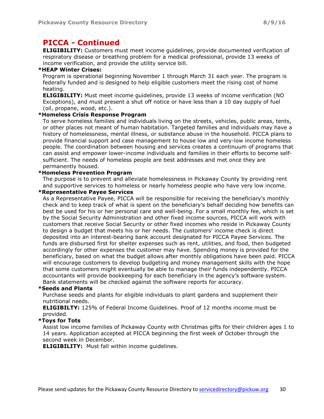## PICCA - Continued

**ELIGIBILITY:** Customers must meet income quidelines, provide documented verification of respiratory disease or breathing problem for a medical professional, provide 13 weeks of income verification, and provide the utility service bill.

#### \*HEAP Winter Crises:

Program is operational beginning November 1 through March 31 each year. The program is federally funded and is designed to help eligible customers meet the rising cost of home heating.

ELIGIBILITY: Must meet income guidelines, provide 13 weeks of income verification (NO Exceptions), and must present a shut off notice or have less than a 10 day supply of fuel (oil, propane, wood, etc.).

#### \*Homeless Crisis Response Program

To serve homeless families and individuals living on the streets, vehicles, public areas, tents, or other places not meant of human habitation. Targeted families and individuals may have a history of homelessness, mental illness, or substance abuse in the household. PICCA plans to provide financial support and case management to house low and very-low income homeless people. The coordination between housing and services creates a continuum of programs that can assist and empower lower-income individuals and families in their efforts to become selfsufficient. The needs of homeless people are best addresses and met once they are permanently housed.

#### \*Homeless Prevention Program

The purpose is to prevent and alleviate homelessness in Pickaway County by providing rent and supportive services to homeless or nearly homeless people who have very low income.

#### \*Representative Payee Services

As a Representative Payee, PICCA will be responsible for receiving the beneficiary's monthly check and to keep track of what is spent on the beneficiary's behalf deciding how benefits can best be used for his or her personal care and well-being. For a small monthly fee, which is set by the Social Security Administration and other fixed income sources, PICCA will work with customers that receive Social Security or other fixed incomes who reside in Pickaway County to design a budget that meets his or her needs. The customers' income check is direct deposited into an interest-bearing bank account designated for PICCA Payee Services. The funds are disbursed first for shelter expenses such as rent, utilities, and food, then budgeted accordingly for other expenses the customer may have. Spending money is provided for the beneficiary, based on what the budget allows after monthly obligations have been paid. PICCA will encourage customers to develop budgeting and money management skills with the hope that some customers might eventually be able to manage their funds independently. PICCA accountants will provide bookkeeping for each beneficiary in the agency's software system. Bank statements will be checked against the software reports for accuracy.

#### \*Seeds and Plants

Purchase seeds and plants for eligible individuals to plant gardens and supplement their nutritional needs.

ELIGIBILTY: 125% of Federal Income Guidelines. Proof of 12 months income must be provided.

#### \*Toys for Tots

Assist low income families of Pickaway County with Christmas gifts for their children ages 1 to 14 years. Application accepted at PICCA beginning the first week of October through the second week in December.

**ELIGIBILITY:** Must fall within income guidelines.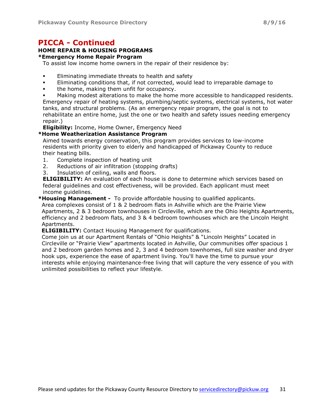## PICCA - Continued

#### HOME REPAIR & HOUSING PROGRAMS

#### \*Emergency Home Repair Program

To assist low income home owners in the repair of their residence by:

- Eliminating immediate threats to health and safety
- Eliminating conditions that, if not corrected, would lead to irreparable damage to
- **the home, making them unfit for occupancy.**

 Making modest alterations to make the home more accessible to handicapped residents. Emergency repair of heating systems, plumbing/septic systems, electrical systems, hot water tanks, and structural problems. (As an emergency repair program, the goal is not to rehabilitate an entire home, just the one or two health and safety issues needing emergency repair.)

**Eligibility:** Income, Home Owner, Emergency Need

#### \*Home Weatherization Assistance Program

Aimed towards energy conservation, this program provides services to low-income residents with priority given to elderly and handicapped of Pickaway County to reduce their heating bills.

- 1. Complete inspection of heating unit
- 2. Reductions of air infiltration (stopping drafts)
- 3. Insulation of ceiling, walls and floors.

**ELIGIBILITY:** An evaluation of each house is done to determine which services based on federal guidelines and cost effectiveness, will be provided. Each applicant must meet income guidelines.

\*Housing Management - To provide affordable housing to qualified applicants.

 Area complexes consist of 1 & 2 bedroom flats in Ashville which are the Prairie View Apartments, 2 & 3 bedroom townhouses in Circleville, which are the Ohio Heights Apartments, efficiency and 2 bedroom flats, and 3 & 4 bedroom townhouses which are the Lincoln Height Apartments.

ELIGIBILITY: Contact Housing Management for qualifications.

 Come join us at our Apartment Rentals of "Ohio Heights" & "Lincoln Heights" Located in Circleville or "Prairie View" apartments located in Ashville, Our communities offer spacious 1 and 2 bedroom garden homes and 2, 3 and 4 bedroom townhomes, full size washer and dryer hook ups, experience the ease of apartment living. You'll have the time to pursue your interests while enjoying maintenance-free living that will capture the very essence of you with unlimited possibilities to reflect your lifestyle.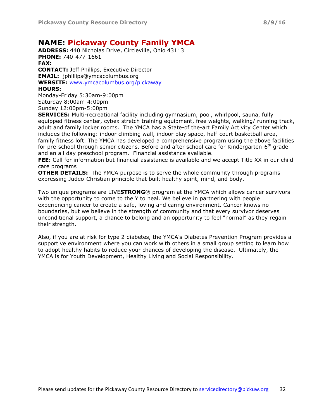## NAME: Pickaway County Family YMCA

ADDRESS: 440 Nicholas Drive, Circleville, Ohio 43113 PHONE: 740-477-1661 FAX: CONTACT: Jeff Phillips, Executive Director EMAIL: jphillips@ymcacolumbus.org

WEBSITE: www.ymcacolumbus.org/pickaway

#### HOURS:

Monday-Friday 5:30am-9:00pm Saturday 8:00am-4:00pm Sunday 12:00pm-5:00pm

SERVICES: Multi-recreational facility including gymnasium, pool, whirlpool, sauna, fully equipped fitness center, cybex stretch training equipment, free weights, walking/ running track, adult and family locker rooms. The YMCA has a State-of the-art Family Activity Center which includes the following: indoor climbing wall, indoor play space, half-court basketball area, family fitness loft. The YMCA has developed a comprehensive program using the above facilities for pre-school through senior citizens. Before and after school care for Kindergarten-6<sup>th</sup> grade and an all day preschool program. Financial assistance available.

FEE: Call for information but financial assistance is available and we accept Title XX in our child care programs

**OTHER DETAILS:** The YMCA purpose is to serve the whole community through programs expressing Judeo-Christian principle that built healthy spirit, mind, and body.

Two unique programs are LIVESTRONG<sup>®</sup> program at the YMCA which allows cancer survivors with the opportunity to come to the Y to heal. We believe in partnering with people experiencing cancer to create a safe, loving and caring environment. Cancer knows no boundaries, but we believe in the strength of community and that every survivor deserves unconditional support, a chance to belong and an opportunity to feel "normal" as they regain their strength.

Also, if you are at risk for type 2 diabetes, the YMCA's Diabetes Prevention Program provides a supportive environment where you can work with others in a small group setting to learn how to adopt healthy habits to reduce your chances of developing the disease. Ultimately, the YMCA is for Youth Development, Healthy Living and Social Responsibility.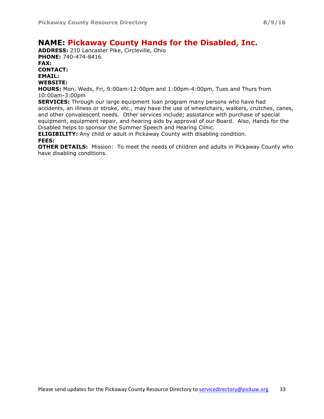## NAME: Pickaway County Hands for the Disabled, Inc.

ADDRESS: 210 Lancaster Pike, Circleville, Ohio PHONE: 740-474-8416 FAX: CONTACT: EMAIL: WEBSITE:

HOURS: Mon, Weds, Fri, 9:00am-12:00pm and 1:00pm-4:00pm, Tues and Thurs from 10:00am-3:00pm

**SERVICES:** Through our large equipment loan program many persons who have had accidents, an illness or stroke, etc., may have the use of wheelchairs, walkers, crutches, canes, and other convalescent needs. Other services include; assistance with purchase of special equipment, equipment repair, and hearing aids by approval of our Board. Also, Hands for the Disabled helps to sponsor the Summer Speech and Hearing Clinic.

**ELIGIBILITY:** Any child or adult in Pickaway County with disabling condition. FEES:

**OTHER DETAILS:** Mission: To meet the needs of children and adults in Pickaway County who have disabling conditions.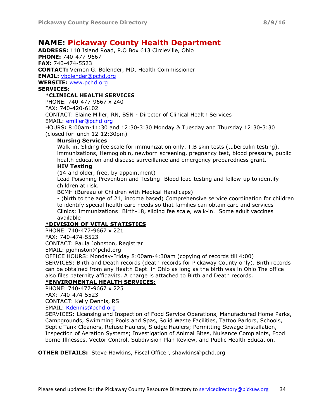## NAME: Pickaway County Health Department

ADDRESS: 110 Island Road, P.O Box 613 Circleville, Ohio PHONE: 740-477-9667 FAX: 740-474-5523 CONTACT: Vernon G. Bolender, MD, Health Commissioner EMAIL: vbolender@pchd.org WEBSITE: www.pchd.org

SERVICES:

#### \*CLINICAL HEALTH SERVICES

PHONE: 740-477-9667 x 240 FAX: 740-420-6102 CONTACT: Elaine Miller, RN, BSN - Director of Clinical Health Services EMAIL: emiller@pchd.org HOURS: 8:00am-11:30 and 12:30-3:30 Monday & Tuesday and Thursday 12:30-3:30 (closed for lunch 12-12:30pm)

#### Nursing Services

Walk-in. Sliding fee scale for immunization only. T.B skin tests (tuberculin testing), immunizations, Hemoglobin, newborn screening, pregnancy test, blood pressure, public health education and disease surveillance and emergency preparedness grant.

#### HIV Testing

(14 and older, free, by appointment)

Lead Poisoning Prevention and Testing- Blood lead testing and follow-up to identify children at risk.

BCMH (Bureau of Children with Medical Handicaps)

- (birth to the age of 21, income based) Comprehensive service coordination for children to identify special health care needs so that families can obtain care and services Clinics: Immunizations: Birth-18, sliding fee scale, walk-in. Some adult vaccines available

#### \*DIVISION OF VITAL STATISTICS

PHONE: 740-477-9667 x 221

FAX: 740-474-5523

CONTACT: Paula Johnston, Registrar

EMAIL: pjohnston@pchd.org

OFFICE HOURS: Monday-Friday 8:00am-4:30am (copying of records till 4:00) SERVICES: Birth and Death records (death records for Pickaway County only). Birth records can be obtained from any Health Dept. in Ohio as long as the birth was in Ohio The office also files paternity affidavits. A charge is attached to Birth and Death records.

#### \*ENVIROMENTAL HEALTH SERVICES:

PHONE: 740-477-9667 x 225

FAX: 740-474-5523

CONTACT: Kelly Dennis, RS

EMAIL: Kdennis@pchd.org

SERVICES: Licensing and Inspection of Food Service Operations, Manufactured Home Parks, Campgrounds, Swimming Pools and Spas, Solid Waste Facilities, Tattoo Parlors, Schools, Septic Tank Cleaners, Refuse Haulers, Sludge Haulers; Permitting Sewage Installation, Inspection of Aeration Systems; Investigation of Animal Bites, Nuisance Complaints, Food borne Illnesses, Vector Control, Subdivision Plan Review, and Public Health Education.

OTHER DETAILS: Steve Hawkins, Fiscal Officer, shawkins@pchd.org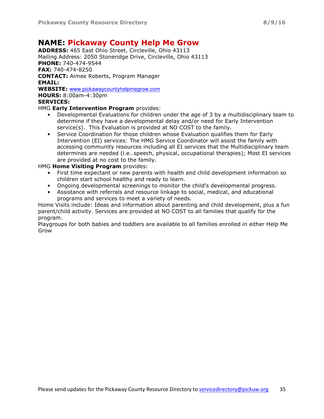## NAME: Pickaway County Help Me Grow

ADDRESS: 465 East Ohio Street, Circleville, Ohio 43113 Mailing Address: 2050 Stoneridge Drive, Circleville, Ohio 43113 PHONE: 740-474-9544 FAX: 740-474-8250 CONTACT: Aimee Roberts, Program Manager EMAIL: WEBSITE: www.pickawaycountyhelpmegrow.com HOURS: 8:00am-4:30pm SERVICES: HMG Early Intervention Program provides:

- Developmental Evaluations for children under the age of 3 by a multidisciplinary team to determine if they have a developmental delay and/or need for Early Intervention service(s). This Evaluation is provided at NO COST to the family.
- Service Coordination for those children whose Evaluation qualifies them for Early Intervention (EI) services: The HMG Service Coordinator will assist the family with accessing community resources including all EI services that the Multidisciplinary team determines are needed (i.e…speech, physical, occupational therapies); Most EI services are provided at no cost to the family.

#### HMG **Home Visiting Program** provides:

- First time expectant or new parents with health and child development information so children start school healthy and ready to learn.
- Ongoing developmental screenings to monitor the child's developmental progress.
- Assistance with referrals and resource linkage to social, medical, and educational programs and services to meet a variety of needs.

Home Visits include: Ideas and information about parenting and child development, plus a fun parent/child activity. Services are provided at NO COST to all families that qualify for the program.

Playgroups for both babies and toddlers are available to all families enrolled in either Help Me Grow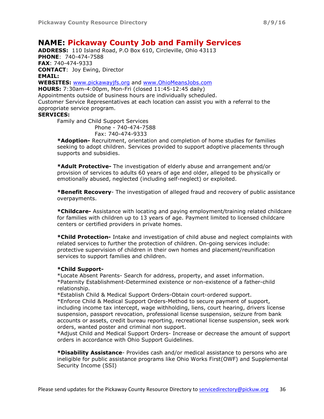## NAME: Pickaway County Job and Family Services

ADDRESS: 110 Island Road, P.O Box 610, Circleville, Ohio 43113 PHONE: 740-474-7588 FAX: 740-474-9333 CONTACT: Joy Ewing, Director EMAIL: WEBSITES: www.pickawayjfs.org and www.OhioMeansJobs.com

HOURS: 7:30am-4:00pm, Mon-Fri (closed 11:45-12:45 daily) Appointments outside of business hours are individually scheduled.

Customer Service Representatives at each location can assist you with a referral to the appropriate service program.

#### SERVICES:

Family and Child Support Services

 Phone - 740-474-7588 Fax: 740-474-9333

\*Adoption- Recruitment, orientation and completion of home studies for families seeking to adopt children. Services provided to support adoptive placements through supports and subsidies.

\*Adult Protective- The investigation of elderly abuse and arrangement and/or provision of services to adults 60 years of age and older, alleged to be physically or emotionally abused, neglected (including self-neglect) or exploited.

\*Benefit Recovery- The investigation of alleged fraud and recovery of public assistance overpayments.

\*Childcare- Assistance with locating and paying employment/training related childcare for families with children up to 13 years of age. Payment limited to licensed childcare centers or certified providers in private homes.

\*Child Protection- Intake and investigation of child abuse and neglect complaints with related services to further the protection of children. On-going services include: protective supervision of children in their own homes and placement/reunification services to support families and children.

#### \*Child Support-

\*Locate Absent Parents- Search for address, property, and asset information. \*Paternity Establishment-Determined existence or non-existence of a father-child relationship.

\*Establish Child & Medical Support Orders-Obtain court-ordered support. \*Enforce Child & Medical Support Orders-Method to secure payment of support, including income tax intercept, wage withholding, liens, court hearing, drivers license suspension, passport revocation, professional license suspension, seizure from bank accounts or assets, credit bureau reporting, recreational license suspension, seek work orders, wanted poster and criminal non support.

\*Adjust Child and Medical Support Orders- Increase or decrease the amount of support orders in accordance with Ohio Support Guidelines.

\*Disability Assistance- Provides cash and/or medical assistance to persons who are ineligible for public assistance programs like Ohio Works First(OWF) and Supplemental Security Income (SSI)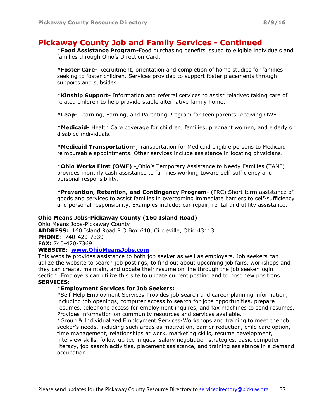## Pickaway County Job and Family Services - Continued

\*Food Assistance Program-Food purchasing benefits issued to eligible individuals and families through Ohio's Direction Card.

\*Foster Care- Recruitment, orientation and completion of home studies for families seeking to foster children. Services provided to support foster placements through supports and subsides.

\*Kinship Support- Information and referral services to assist relatives taking care of related children to help provide stable alternative family home.

\*Leap- Learning, Earning, and Parenting Program for teen parents receiving OWF.

\*Medicaid- Health Care coverage for children, families, pregnant women, and elderly or disabled individuals.

\*Medicaid Transportation- Transportation for Medicaid eligible persons to Medicaid reimbursable appointments. Other services include assistance in locating physicians.

\*Ohio Works First (OWF) - Ohio's Temporary Assistance to Needy Families (TANF) provides monthly cash assistance to families working toward self-sufficiency and personal responsibility.

\*Prevention, Retention, and Contingency Program- (PRC) Short term assistance of goods and services to assist families in overcoming immediate barriers to self-sufficiency and personal responsibility. Examples include: car repair, rental and utility assistance.

#### Ohio Means Jobs-Pickaway County (160 Island Road)

Ohio Means Jobs-Pickaway County ADDRESS: 160 Island Road P.O Box 610, Circleville, Ohio 43113 PHONE: 740-420-7339 FAX: 740-420-7369 WEBSITE: www.OhioMeansJobs.com

# This website provides assistance to both job seeker as well as employers. Job seekers can

utilize the website to search job postings, to find out about upcoming job fairs, workshops and they can create, maintain, and update their resume on line through the job seeker login section. Employers can utilize this site to update current posting and to post new positions. SERVICES:

#### \*Employment Services for Job Seekers:

\*Self-Help Employment Services-Provides job search and career planning information, including job openings, computer access to search for jobs opportunities, prepare resumes, telephone access for employment inquires, and fax machines to send resumes. Provides information on community resources and services available.

\*Group & Individualized Employment Services-Workshops and training to meet the job seeker's needs, including such areas as motivation, barrier reduction, child care option, time management, relationships at work, marketing skills, resume development, interview skills, follow-up techniques, salary negotiation strategies, basic computer literacy, job search activities, placement assistance, and training assistance in a demand occupation.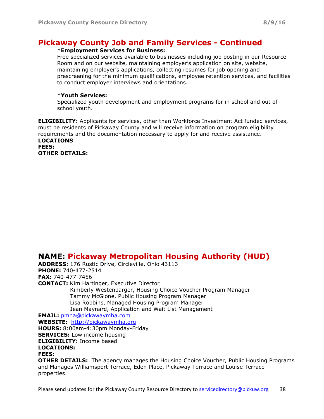## Pickaway County Job and Family Services - Continued

#### \*Employment Services for Business:

Free specialized services available to businesses including job posting in our Resource Room and on our website, maintaining employer's application on site, website, maintaining employer's applications, collecting resumes for job opening and prescreening for the minimum qualifications, employee retention services, and facilities to conduct employer interviews and orientations.

#### \*Youth Services:

Specialized youth development and employment programs for in school and out of school youth.

**ELIGIBILITY:** Applicants for services, other than Workforce Investment Act funded services, must be residents of Pickaway County and will receive information on program eligibility requirements and the documentation necessary to apply for and receive assistance. LOCATIONS FEES: OTHER DETAILS:

## NAME: Pickaway Metropolitan Housing Authority (HUD)

ADDRESS: 176 Rustic Drive, Circleville, Ohio 43113 PHONE: 740-477-2514 FAX: 740-477-7456 CONTACT: Kim Hartinger, Executive Director Kimberly Westenbarger, Housing Choice Voucher Program Manager Tammy McGlone, Public Housing Program Manager Lisa Robbins, Managed Housing Program Manager Jean Maynard, Application and Wait List Management EMAIL: pmha@pickawaymha.com WEBSITE: http://pickawaymha.org HOURS: 8:00am-4:30pm Monday-Friday

**SERVICES:** Low income housing ELIGIBILITY: Income based LOCATIONS: FEES:

**OTHER DETAILS:** The agency manages the Housing Choice Voucher, Public Housing Programs and Manages Williamsport Terrace, Eden Place, Pickaway Terrace and Louise Terrace properties.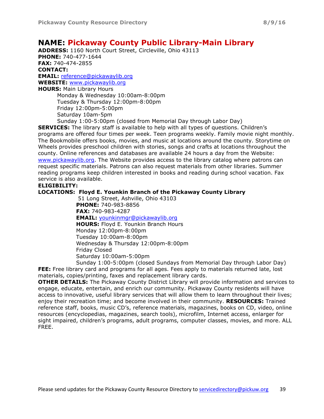## NAME: Pickaway County Public Library-Main Library

ADDRESS: 1160 North Court Street, Circleville, Ohio 43113 PHONE: 740-477-1644 FAX: 740-474-2855 CONTACT: EMAIL: reference@pickawaylib.org WEBSITE: www.pickawaylib.org **HOURS: Main Library Hours** Monday & Wednesday 10:00am-8:00pm Tuesday & Thursday 12:00pm-8:00pm Friday 12:00pm-5:00pm Saturday 10am-5pm

Sunday 1:00-5:00pm (closed from Memorial Day through Labor Day)

**SERVICES:** The library staff is available to help with all types of questions. Children's programs are offered four times per week. Teen programs weekly. Family movie night monthly. The Bookmobile offers books, movies, and music at locations around the county. Storytime on Wheels provides preschool children with stories, songs and crafts at locations throughout the county. Online references and databases are available 24 hours a day from the Website: www.pickawaylib.org. The Website provides access to the library catalog where patrons can request specific materials. Patrons can also request materials from other libraries. Summer reading programs keep children interested in books and reading during school vacation. Fax service is also available.

#### ELIGIBILITY:

#### LOCATIONS: Floyd E. Younkin Branch of the Pickaway County Library

 51 Long Street, Ashville, Ohio 43103 PHONE: 740-983-8856 FAX: 740-983-4287 EMAIL: younkinmgr@pickawaylib.org HOURS: Floyd E. Younkin Branch Hours Monday 12:00pm-8:00pm Tuesday 10:00am-8:00pm Wednesday & Thursday 12:00pm-8:00pm Friday Closed Saturday 10:00am-5:00pm

Sunday 1:00-5:00pm (closed Sundays from Memorial Day through Labor Day) **FEE:** Free library card and programs for all ages. Fees apply to materials returned late, lost materials, copies/printing, faxes and replacement library cards.

**OTHER DETAILS:** The Pickaway County District Library will provide information and services to engage, educate, entertain, and enrich our community. Pickaway County residents will have access to innovative, useful library services that will allow them to learn throughout their lives; enjoy their recreation time; and become involved in their community. RESOURCES: Trained reference staff, books, music CD's, reference materials, magazines, books on CD, video, online resources (encyclopedias, magazines, search tools), microfilm, Internet access, enlarger for sight impaired, children's programs, adult programs, computer classes, movies, and more. ALL FREE.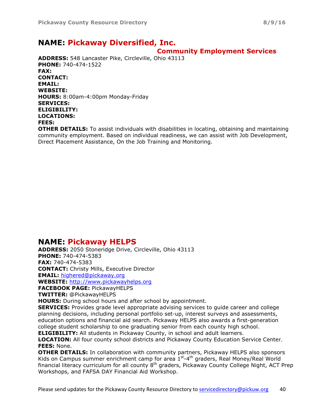## NAME: Pickaway Diversified, Inc.

#### Community Employment Services

ADDRESS: 548 Lancaster Pike, Circleville, Ohio 43113 PHONE: 740-474-1522 FAX: CONTACT: EMAIL: WEBSITE: HOURS: 8:00am-4:00pm Monday-Friday SERVICES: ELIGIBILITY: LOCATIONS: FEES:

**OTHER DETAILS:** To assist individuals with disabilities in locating, obtaining and maintaining community employment. Based on individual readiness, we can assist with Job Development, Direct Placement Assistance, On the Job Training and Monitoring.

## NAME: Pickaway HELPS

ADDRESS: 2050 Stoneridge Drive, Circleville, Ohio 43113 PHONE: 740-474-5383 FAX: 740-474-5383 CONTACT: Christy Mills, Executive Director EMAIL: highered@pickaway.org WEBSITE: http://www.pickawayhelps.org

FACEBOOK PAGE: PickawayHELPS

TWITTER: @PickawayHELPS

HOURS: During school hours and after school by appointment.

**SERVICES:** Provides grade level appropriate advising services to guide career and college planning decisions, including personal portfolio set-up, interest surveys and assessments, education options and financial aid search. Pickaway HELPS also awards a first-generation college student scholarship to one graduating senior from each county high school.

**ELIGIBILITY:** All students in Pickaway County, in school and adult learners.

**LOCATION:** All four county school districts and Pickaway County Education Service Center. FEES: None.

**OTHER DETAILS:** In collaboration with community partners, Pickaway HELPS also sponsors Kids on Campus summer enrichment camp for area 1<sup>st</sup>-4<sup>th</sup> graders, Real Money/Real World financial literacy curriculum for all county  $8<sup>th</sup>$  graders, Pickaway County College Night, ACT Prep Workshops, and FAFSA DAY Financial Aid Workshop.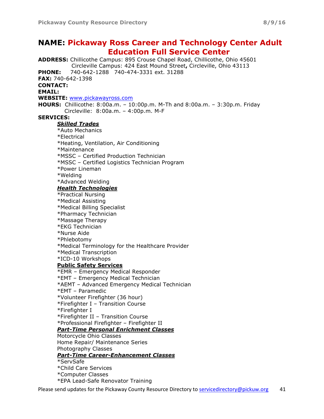## NAME: Pickaway Ross Career and Technology Center Adult Education Full Service Center

ADDRESS: Chillicothe Campus: 895 Crouse Chapel Road, Chillicothe, Ohio 45601 Circleville Campus: 424 East Mound Street, Circleville, Ohio 43113

PHONE: 740-642-1288 740-474-3331 ext. 31288

FAX: 740-642-1398

#### CONTACT:

#### EMAIL:

WEBSITE: www.pickawayross.com

HOURS: Chillicothe: 8:00a.m. – 10:00p.m. M-Th and 8:00a.m. – 3:30p.m. Friday Circleville: 8:00a.m. – 4:00p.m. M-F

#### SERVICES:

#### Skilled Trades

\*Auto Mechanics

\*Electrical

\*Heating, Ventilation, Air Conditioning

\*Maintenance

\*MSSC – Certified Production Technician

\*MSSC – Certified Logistics Technician Program

\*Power Lineman

\*Welding

\*Advanced Welding

#### Health Technologies

\*Practical Nursing

\*Medical Assisting

\*Medical Billing Specialist

\*Pharmacy Technician

\*Massage Therapy

\*EKG Technician

\*Nurse Aide

\*Phlebotomy

\*Medical Terminology for the Healthcare Provider

\*Medical Transcription

\*ICD-10 Workshops

#### Public Safety Services

\*EMR – Emergency Medical Responder

\*EMT – Emergency Medical Technician

\*AEMT – Advanced Emergency Medical Technician

\*EMT – Paramedic

\*Volunteer Firefighter (36 hour)

\*Firefighter I – Transition Course

\*Firefighter I

\*Firefighter II – Transition Course

\*Professional Firefighter – Firefighter II

#### Part-Time Personal Enrichment Classes

Motorcycle Ohio Classes

Home Repair/ Maintenance Series

Photography Classes

#### **Part-Time Career-Enhancement Classes**

\*ServSafe

\*Child Care Services

\*Computer Classes

\*EPA Lead-Safe Renovator Training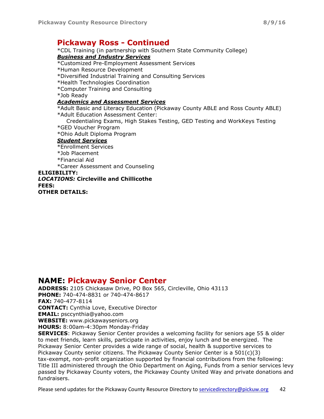## Pickaway Ross - Continued

\*CDL Training (in partnership with Southern State Community College)

Business and Industry Services

\*Customized Pre-Employment Assessment Services

\*Human Resource Development

\*Diversified Industrial Training and Consulting Services

\*Health Technologies Coordination

\*Computer Training and Consulting

\*Job Ready

#### Academics and Assessment Services

\*Adult Basic and Literacy Education (Pickaway County ABLE and Ross County ABLE) \*Adult Education Assessment Center:

 Credentialing Exams, High Stakes Testing, GED Testing and WorkKeys Testing \*GED Voucher Program

\*Ohio Adult Diploma Program

#### Student Services

\*Enrollment Services

\*Job Placement

\*Financial Aid

\*Career Assessment and Counseling

ELIGIBILITY:

#### LOCATIONS: Circleville and Chillicothe FEES:

OTHER DETAILS:

## NAME: Pickaway Senior Center

ADDRESS: 2105 Chickasaw Drive, PO Box 565, Circleville, Ohio 43113 PHONE: 740-474-8831 or 740-474-8617 FAX: 740-477-8114 CONTACT: Cynthia Love, Executive Director EMAIL: psccynthia@yahoo.com WEBSITE: www.pickawayseniors.org HOURS: 8:00am-4:30pm Monday-Friday SERVICES: Pickaway Senior Center provides a welcoming facility for seniors age 55 & older

to meet friends, learn skills, participate in activities, enjoy lunch and be energized. The Pickaway Senior Center provides a wide range of social, health & supportive services to Pickaway County senior citizens. The Pickaway County Senior Center is a  $501(c)(3)$ tax-exempt, non-profit organization supported by financial contributions from the following: Title III administered through the Ohio Department on Aging, Funds from a senior services levy passed by Pickaway County voters, the Pickaway County United Way and private donations and fundraisers.

Please send updates for the Pickaway County Resource Directory to servicedirectory@pickuw.org 42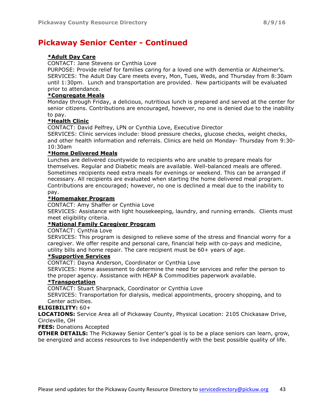## Pickaway Senior Center - Continued

#### \*Adult Day Care

CONTACT: Jane Stevens or Cynthia Love

PURPOSE: Provide relief for families caring for a loved one with dementia or Alzheimer's. SERVICES: The Adult Day Care meets every, Mon, Tues, Weds, and Thursday from 8:30am until 1:30pm. Lunch and transportation are provided. New participants will be evaluated prior to attendance.

#### \*Congregate Meals

Monday through Friday, a delicious, nutritious lunch is prepared and served at the center for senior citizens. Contributions are encouraged, however, no one is denied due to the inability to pay.

#### \*Health Clinic

CONTACT: David Pelfrey, LPN or Cynthia Love, Executive Director

SERVICES: Clinic services include: blood pressure checks, glucose checks, weight checks, and other health information and referrals. Clinics are held on Monday- Thursday from 9:30- 10:30am

#### \*Home Delivered Meals

Lunches are delivered countywide to recipients who are unable to prepare meals for themselves. Regular and Diabetic meals are available. Well-balanced meals are offered. Sometimes recipients need extra meals for evenings or weekend. This can be arranged if necessary. All recipients are evaluated when starting the home delivered meal program. Contributions are encouraged; however, no one is declined a meal due to the inability to pay.

#### \*Homemaker Program

CONTACT: Amy Shaffer or Cynthia Love

SERVICES: Assistance with light housekeeping, laundry, and running errands. Clients must meet eligibility criteria.

#### \*National Family Caregiver Program

CONTACT: Cynthia Love

SERVICES: This program is designed to relieve some of the stress and financial worry for a caregiver. We offer respite and personal care, financial help with co-pays and medicine, utility bills and home repair. The care recipient must be 60+ years of age.

#### \*Supportive Services

CONTACT: Dayna Anderson, Coordinator or Cynthia Love

SERVICES: Home assessment to determine the need for services and refer the person to the proper agency. Assistance with HEAP & Commodities paperwork available.

#### \*Transportation

CONTACT: Stuart Sharpnack, Coordinator or Cynthia Love

SERVICES: Transportation for dialysis, medical appointments, grocery shopping, and to Center activities.

#### ELIGIBILITY: 60+

LOCATIONS: Service Area all of Pickaway County, Physical Location: 2105 Chickasaw Drive, Circleville, OH

**FEES: Donations Accepted** 

**OTHER DETAILS:** The Pickaway Senior Center's goal is to be a place seniors can learn, grow, be energized and access resources to live independently with the best possible quality of life.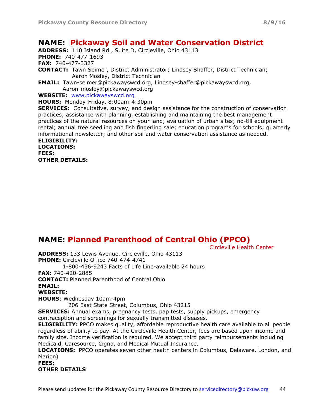## NAME: Pickaway Soil and Water Conservation District

ADDRESS: 110 Island Rd., Suite D, Circleville, Ohio 43113

PHONE: 740-477-1693

FAX: 740-477-3327

CONTACT: Tawn Seimer, District Administrator; Lindsey Shaffer, District Technician; Aaron Mosley, District Technician

EMAIL: Tawn-seimer@pickawayswcd.org, Lindsey-shaffer@pickawayswcd.org, Aaron-mosley@pickawayswcd.org

WEBSITE: www.pickawayswcd.org

HOURS: Monday-Friday, 8:00am-4:30pm

**SERVICES:** Consultative, survey, and design assistance for the construction of conservation practices; assistance with planning, establishing and maintaining the best management practices of the natural resources on your land; evaluation of urban sites; no-till equipment rental; annual tree seedling and fish fingerling sale; education programs for schools; quarterly informational newsletter; and other soil and water conservation assistance as needed. ELIGIBILITY:

## LOCATIONS: FEES:

OTHER DETAILS:

## NAME: Planned Parenthood of Central Ohio (PPCO)

Circleville Health Center

ADDRESS: 133 Lewis Avenue, Circleville, Ohio 43113 PHONE: Circleville Office 740-474-4741

 1-800-436-9243 Facts of Life Line-available 24 hours FAX: 740-420-2885 CONTACT: Planned Parenthood of Central Ohio EMAIL: WEBSITE:

HOURS: Wednesday 10am-4pm

206 East State Street, Columbus, Ohio 43215

**SERVICES:** Annual exams, pregnancy tests, pap tests, supply pickups, emergency contraception and screenings for sexually transmitted diseases.

**ELIGIBILITY:** PPCO makes quality, affordable reproductive health care available to all people regardless of ability to pay. At the Circleville Health Center, fees are based upon income and family size. Income verification is required. We accept third party reimbursements including Medicaid, Caresource, Cigna, and Medical Mutual Insurance.

LOCATIONS: PPCO operates seven other health centers in Columbus, Delaware, London, and Marion)

FEES: OTHER DETAILS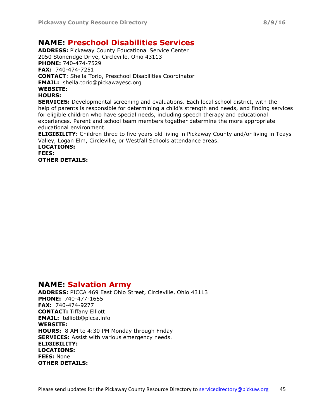## NAME: Preschool Disabilities Services

ADDRESS: Pickaway County Educational Service Center 2050 Stoneridge Drive, Circleville, Ohio 43113 PHONE: 740-474-7529 FAX: 740-474-7251 CONTACT: Sheila Torio, Preschool Disabilities Coordinator EMAIL: sheila.torio@pickawayesc.org WEBSITE: HOURS:

SERVICES: Developmental screening and evaluations. Each local school district, with the help of parents is responsible for determining a child's strength and needs, and finding services for eligible children who have special needs, including speech therapy and educational experiences. Parent and school team members together determine the more appropriate educational environment.

**ELIGIBILITY:** Children three to five years old living in Pickaway County and/or living in Teays Valley, Logan Elm, Circleville, or Westfall Schools attendance areas.

LOCATIONS: FEES: OTHER DETAILS:

## NAME: Salvation Army

ADDRESS: PICCA 469 East Ohio Street, Circleville, Ohio 43113 PHONE: 740-477-1655 FAX: 740-474-9277 CONTACT: Tiffany Elliott EMAIL: telliott@picca.info WEBSITE: HOURS: 8 AM to 4:30 PM Monday through Friday **SERVICES:** Assist with various emergency needs. ELIGIBILITY: LOCATIONS: FEES: None OTHER DETAILS: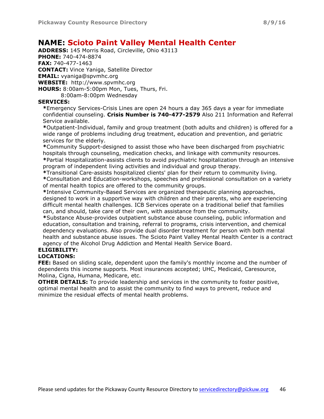## NAME: Scioto Paint Valley Mental Health Center

ADDRESS: 145 Morris Road, Circleville, Ohio 43113

PHONE: 740-474-8874 FAX: 740-477-1463

CONTACT: Vince Yaniga, Satellite Director

EMAIL: vyaniga@spvmhc.org

WEBSITE: http://www.spvmhc.org

HOURS: 8:00am-5:00pm Mon, Tues, Thurs, Fri.

8:00am-8:00pm Wednesday

#### SERVICES:

\*Emergency Services-Crisis Lines are open 24 hours a day 365 days a year for immediate confidential counseling. Crisis Number is 740-477-2579 Also 211 Information and Referral Service available.

\*Outpatient-Individual, family and group treatment (both adults and children) is offered for a wide range of problems including drug treatment, education and prevention, and geriatric services for the elderly.

\*Community Support-designed to assist those who have been discharged from psychiatric hospitals through counseling, medication checks, and linkage with community resources.

\*Partial Hospitalization-assists clients to avoid psychiatric hospitalization through an intensive program of independent living activities and individual and group therapy.

\*Transitional Care-assists hospitalized clients' plan for their return to community living. \*Consultation and Education-workshops, speeches and professional consultation on a variety of mental health topics are offered to the community groups.

\*Intensive Community-Based Services are organized therapeutic planning approaches, designed to work in a supportive way with children and their parents, who are experiencing difficult mental health challenges. ICB Services operate on a traditional belief that families can, and should, take care of their own, with assistance from the community.

\*Substance Abuse-provides outpatient substance abuse counseling, public information and education, consultation and training, referral to programs, crisis intervention, and chemical dependency evaluations. Also provide dual disorder treatment for person with both mental health and substance abuse issues. The Scioto Paint Valley Mental Health Center is a contract agency of the Alcohol Drug Addiction and Mental Health Service Board.

## ELIGIBILITY:

LOCATIONS:

FEE: Based on sliding scale, dependent upon the family's monthly income and the number of dependents this income supports. Most insurances accepted; UHC, Medicaid, Caresource, Molina, Cigna, Humana, Medicare, etc.

**OTHER DETAILS:** To provide leadership and services in the community to foster positive, optimal mental health and to assist the community to find ways to prevent, reduce and minimize the residual effects of mental health problems.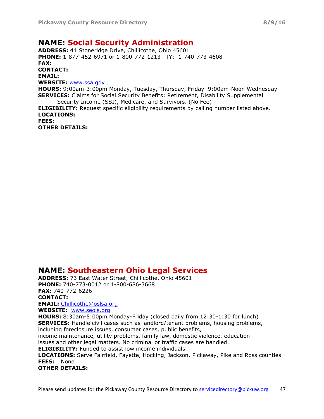#### NAME: Social Security Administration ADDRESS: 44 Stoneridge Drive, Chillicothe, Ohio 45601 PHONE: 1-877-452-6971 or 1-800-772-1213 TTY: 1-740-773-4608 FAX: CONTACT: EMAIL: WEBSITE: www.ssa.gov HOURS: 9:00am-3:00pm Monday, Tuesday, Thursday, Friday 9:00am-Noon Wednesday **SERVICES:** Claims for Social Security Benefits; Retirement, Disability Supplemental Security Income (SSI), Medicare, and Survivors. (No Fee) **ELIGIBILITY:** Request specific eligibility requirements by calling number listed above. LOCATIONS: FEES: OTHER DETAILS:

## NAME: Southeastern Ohio Legal Services

ADDRESS: 73 East Water Street, Chillicothe, Ohio 45601 PHONE: 740-773-0012 or 1-800-686-3668 FAX: 740-772-6226 CONTACT: EMAIL: Chillicothe@oslsa.org WEBSITE: www.seols.org HOURS: 8:30am-5:00pm Monday-Friday (closed daily from 12:30-1:30 for lunch) SERVICES: Handle civil cases such as landlord/tenant problems, housing problems, including foreclosure issues, consumer cases, public benefits, income maintenance, utility problems, family law, domestic violence, education issues and other legal matters. No criminal or traffic cases are handled. ELIGIBILITY: Funded to assist low income individuals LOCATIONS: Serve Fairfield, Fayette, Hocking, Jackson, Pickaway, Pike and Ross counties FEES: None OTHER DETAILS: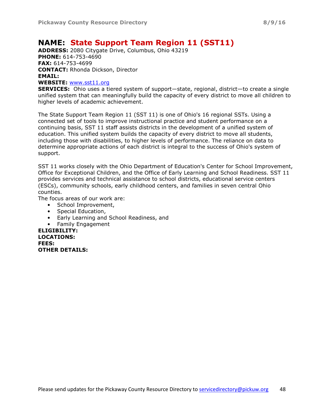## NAME: State Support Team Region 11 (SST11)

ADDRESS: 2080 Citygate Drive, Columbus, Ohio 43219 PHONE: 614-753-4690 FAX: 614-753-4699 CONTACT: Rhonda Dickson, Director EMAIL: WEBSITE: www.sst11.org

SERVICES: Ohio uses a tiered system of support—state, regional, district—to create a single unified system that can meaningfully build the capacity of every district to move all children to higher levels of academic achievement.

The State Support Team Region 11 (SST 11) is one of Ohio's 16 regional SSTs. Using a connected set of tools to improve instructional practice and student performance on a continuing basis, SST 11 staff assists districts in the development of a unified system of education. This unified system builds the capacity of every district to move all students, including those with disabilities, to higher levels of performance. The reliance on data to determine appropriate actions of each district is integral to the success of Ohio's system of support.

SST 11 works closely with the Ohio Department of Education's Center for School Improvement, Office for Exceptional Children, and the Office of Early Learning and School Readiness. SST 11 provides services and technical assistance to school districts, educational service centers (ESCs), community schools, early childhood centers, and families in seven central Ohio counties.

The focus areas of our work are:

- School Improvement,
- Special Education,
- Early Learning and School Readiness, and
- Family Engagement

ELIGIBILITY: LOCATIONS: FEES: OTHER DETAILS: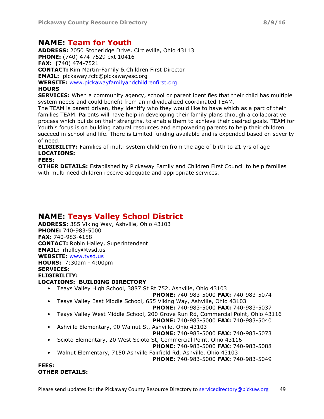## NAME: Team for Youth

ADDRESS: 2050 Stoneridge Drive, Circleville, Ohio 43113 PHONE: (740) 474-7529 ext 10416 FAX: (740) 474-7521 CONTACT: Kim Martin-Family & Children First Director EMAIL: pickaway.fcfc@pickawayesc.org WEBSITE: www.pickawayfamilyandchildrenfirst.org **HOURS** 

**SERVICES:** When a community agency, school or parent identifies that their child has multiple system needs and could benefit from an individualized coordinated TEAM.

The TEAM is parent driven, they identify who they would like to have which as a part of their families TEAM. Parents will have help in developing their family plans through a collaborative process which builds on their strengths, to enable them to achieve their desired goals. TEAM for Youth's focus is on building natural resources and empowering parents to help their children succeed in school and life. There is Limited funding available and is expended based on severity of need.

**ELIGIBILITY:** Families of multi-system children from the age of birth to 21 yrs of age LOCATIONS:

#### FEES:

**OTHER DETAILS:** Established by Pickaway Family and Children First Council to help families with multi need children receive adequate and appropriate services.

## NAME: Teays Valley School District

ADDRESS: 385 Viking Way, Ashville, Ohio 43103 PHONE: 740-983-5000 FAX: 740-983-4158 CONTACT: Robin Halley, Superintendent EMAIL: rhalley@tvsd.us WEBSITE: www.tvsd.us

HOURS: 7:30am - 4:00pm SERVICES: ELIGIBILITY: LOCATIONS: BUILDING DIRECTORY

• Teays Valley High School, 3887 St Rt 752, Ashville, Ohio 43103 PHONE: 740-983-5000 FAX: 740-983-5074 • Teays Valley East Middle School, 655 Viking Way, Ashville, Ohio 43103 PHONE: 740-983-5000 FAX: 740-983-5037 • Teays Valley West Middle School, 200 Grove Run Rd, Commercial Point, Ohio 43116 PHONE: 740-983-5000 FAX: 740-983-5040 • Ashville Elementary, 90 Walnut St, Ashville, Ohio 43103 PHONE: 740-983-5000 FAX: 740-983-5073 • Scioto Elementary, 20 West Scioto St, Commercial Point, Ohio 43116 PHONE: 740-983-5000 FAX: 740-983-5088 • Walnut Elementary, 7150 Ashville Fairfield Rd, Ashville, Ohio 43103 PHONE: 740-983-5000 FAX: 740-983-5049

#### FEES: OTHER DETAILS: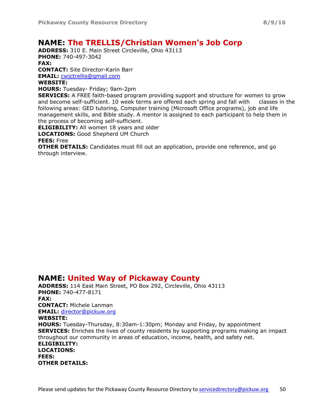## NAME: The TRELLIS/Christian Women's Job Corp

ADDRESS: 310 E. Main Street Circleville, Ohio 43113 PHONE: 740-497-3042 FAX: CONTACT: Site Director-Karin Barr EMAIL: cwjctrellis@gmail.com WEBSITE: HOURS: Tuesday- Friday; 9am-2pm

SERVICES: A FREE faith-based program providing support and structure for women to grow and become self-sufficient. 10 week terms are offered each spring and fall with classes in the following areas: GED tutoring, Computer training (Microsoft Office programs), job and life management skills, and Bible study. A mentor is assigned to each participant to help them in the process of becoming self-sufficient.

**ELIGIBILITY:** All women 18 years and older

LOCATIONS: Good Shepherd UM Church

FEES: Free

**OTHER DETAILS:** Candidates must fill out an application, provide one reference, and go through interview.

#### NAME: United Way of Pickaway County

ADDRESS: 114 East Main Street, PO Box 292, Circleville, Ohio 43113 PHONE: 740-477-8171 FAX: CONTACT: Michele Lanman EMAIL: director@pickuw.org WEBSITE: HOURS: Tuesday-Thursday, 8:30am-1:30pm; Monday and Friday, by appointment **SERVICES:** Enriches the lives of county residents by supporting programs making an impact throughout our community in areas of education, income, health, and safety net. ELIGIBILITY: LOCATIONS: FEES: OTHER DETAILS: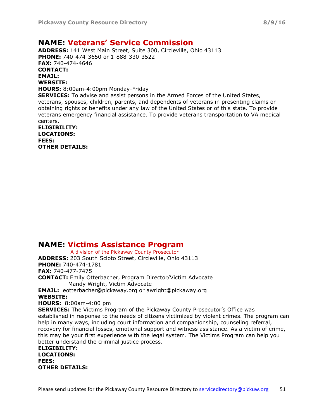## NAME: Veterans' Service Commission

ADDRESS: 141 West Main Street, Suite 300, Circleville, Ohio 43113 PHONE: 740-474-3650 or 1-888-330-3522 FAX: 740-474-4646 CONTACT: EMAIL: WEBSITE: HOURS: 8:00am-4:00pm Monday-Friday SERVICES: To advise and assist persons in the Armed Forces of the United States, veterans, spouses, children, parents, and dependents of veterans in presenting claims or obtaining rights or benefits under any law of the United States or of this state. To provide veterans emergency financial assistance. To provide veterans transportation to VA medical centers. ELIGIBILITY: LOCATIONS: FEES:

OTHER DETAILS:

## NAME: Victims Assistance Program

 A division of the Pickaway County Prosecutor ADDRESS: 203 South Scioto Street, Circleville, Ohio 43113 PHONE: 740-474-1781 FAX: 740-477-7475 CONTACT: Emily Otterbacher, Program Director/Victim Advocate Mandy Wright, Victim Advocate EMAIL: eotterbacher@pickaway.org or awright@pickaway.org WEBSITE: HOURS: 8:00am-4:00 pm SERVICES: The Victims Program of the Pickaway County Prosecutor's Office was established in response to the needs of citizens victimized by violent crimes. The program can help in many ways, including court information and companionship, counseling referral, recovery for financial losses, emotional support and witness assistance. As a victim of crime, this may be your first experience with the legal system. The Victims Program can help you better understand the criminal justice process.

ELIGIBILITY: LOCATIONS: FEES: OTHER DETAILS: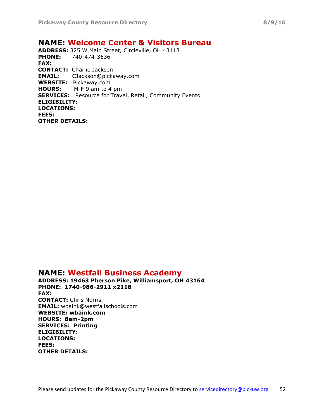## NAME: Welcome Center & Visitors Bureau

ADDRESS: 325 W Main Street, Circleville, OH 43113 PHONE: 740-474-3636 FAX: CONTACT: Charlie Jackson EMAIL: CJackson@pickaway.com WEBSITE: Pickaway.com HOURS: M-F 9 am to 4 pm SERVICES: Resource for Travel, Retail, Community Events ELIGIBILITY: LOCATIONS: FEES: OTHER DETAILS:

## NAME: Westfall Business Academy

ADDRESS: 19463 Pherson Pike, Williamsport, OH 43164 PHONE: 1740-986-2911 x2118 FAX: CONTACT: Chris Norris EMAIL: wbaink@westfallschools.com WEBSITE: wbaink.com HOURS: 8am-2pm SERVICES: Printing ELIGIBILITY: LOCATIONS: FEES: OTHER DETAILS: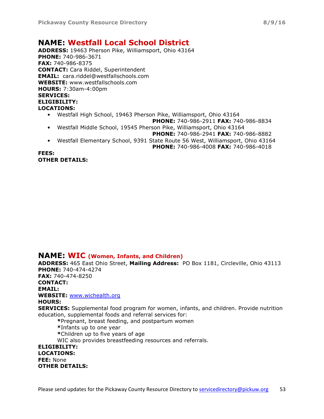## NAME: Westfall Local School District

ADDRESS: 19463 Pherson Pike, Williamsport, Ohio 43164 PHONE: 740-986-3671 FAX: 740-986-8375 CONTACT: Cara Riddel, Superintendent EMAIL: cara.riddel@westfallschools.com WEBSITE: www.westfallschools.com HOURS: 7:30am-4:00pm SERVICES: ELIGIBILITY: LOCATIONS: • Westfall High School, 19463 Pherson Pike, Williamsport, Ohio 43164 PHONE: 740-986-2911 FAX: 740-986-8834

• Westfall Middle School, 19545 Pherson Pike, Williamsport, Ohio 43164

PHONE: 740-986-2941 FAX: 740-986-8882

• Westfall Elementary School, 9391 State Route 56 West, Williamsport, Ohio 43164 PHONE: 740-986-4008 FAX: 740-986-4018

FEES: OTHER DETAILS:

#### NAME: WIC (Women, Infants, and Children)

ADDRESS: 465 East Ohio Street, Mailing Address: PO Box 1181, Circleville, Ohio 43113 PHONE: 740-474-4274 FAX: 740-474-8250 CONTACT: EMAIL: WEBSITE: www.wichealth.org HOURS: **SERVICES:** Supplemental food program for women, infants, and children. Provide nutrition education, supplemental foods and referral services for: \*Pregnant, breast feeding, and postpartum women \*Infants up to one year \*Children up to five years of age WIC also provides breastfeeding resources and referrals. ELIGIBILITY: LOCATIONS: FEE: None OTHER DETAILS: